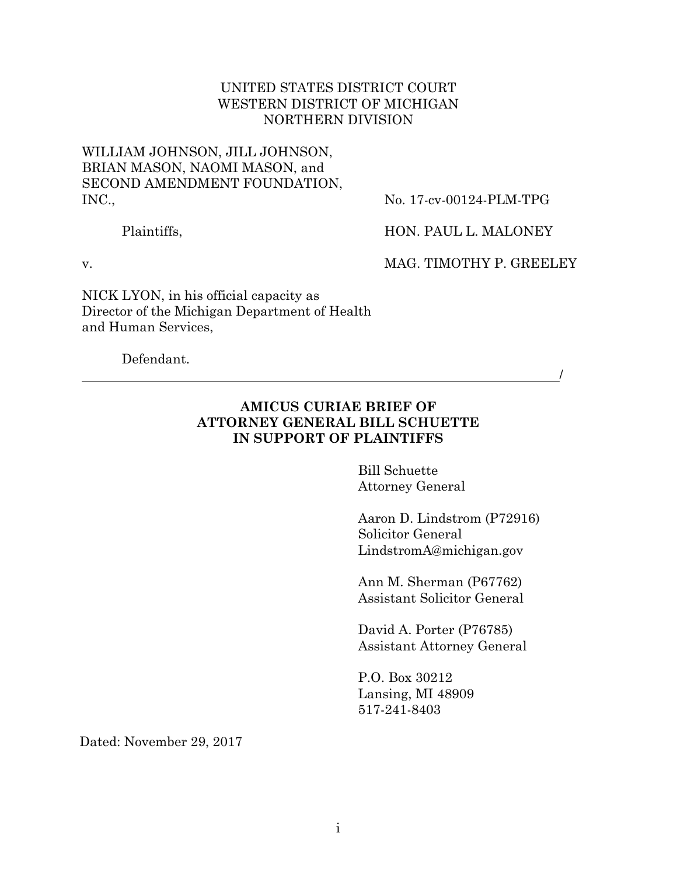#### UNITED STATES DISTRICT COURT WESTERN DISTRICT OF MICHIGAN NORTHERN DIVISION

### WILLIAM JOHNSON, JILL JOHNSON, BRIAN MASON, NAOMI MASON, and SECOND AMENDMENT FOUNDATION, INC.,

No. 17-cv-00124-PLM-TPG

Plaintiffs,

HON. PAUL L. MALONEY

v.

MAG. TIMOTHY P. GREELEY

/

NICK LYON, in his official capacity as Director of the Michigan Department of Health and Human Services,

Defendant.

## **AMICUS CURIAE BRIEF OF ATTORNEY GENERAL BILL SCHUETTE IN SUPPORT OF PLAINTIFFS**

Bill Schuette Attorney General

Aaron D. Lindstrom (P72916) Solicitor General LindstromA@michigan.gov

Ann M. Sherman (P67762) Assistant Solicitor General

David A. Porter (P76785) Assistant Attorney General

P.O. Box 30212 Lansing, MI 48909 517-241-8403

Dated: November 29, 2017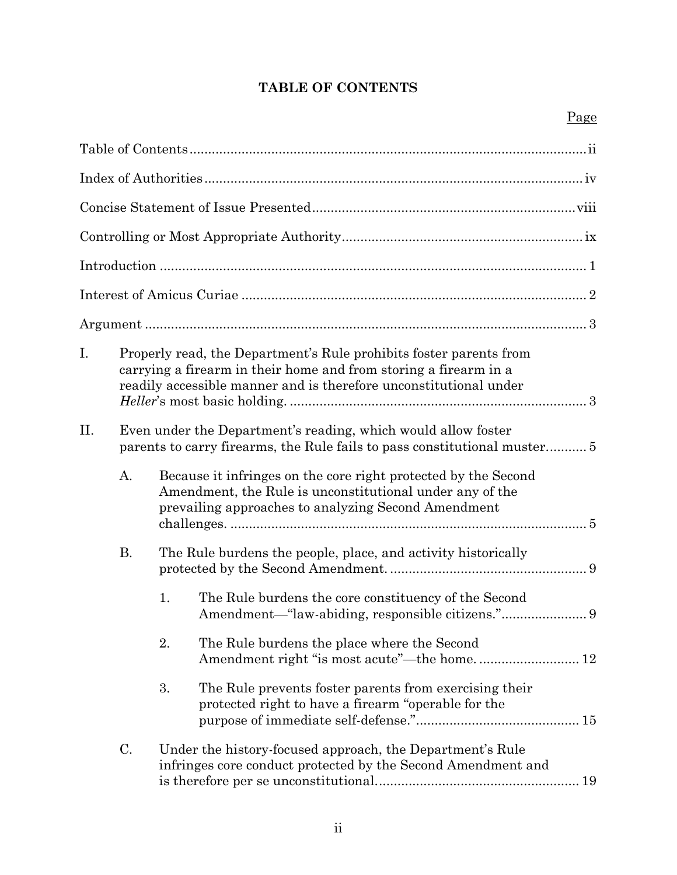## **TABLE OF CONTENTS**

| I.  |                                                               | Properly read, the Department's Rule prohibits foster parents from<br>carrying a firearm in their home and from storing a firearm in a<br>readily accessible manner and is therefore unconstitutional under |  |  |
|-----|---------------------------------------------------------------|-------------------------------------------------------------------------------------------------------------------------------------------------------------------------------------------------------------|--|--|
| II. | Even under the Department's reading, which would allow foster |                                                                                                                                                                                                             |  |  |
|     | A.                                                            | Because it infringes on the core right protected by the Second<br>Amendment, the Rule is unconstitutional under any of the<br>prevailing approaches to analyzing Second Amendment                           |  |  |
|     | <b>B.</b>                                                     | The Rule burdens the people, place, and activity historically                                                                                                                                               |  |  |
|     |                                                               | 1.<br>The Rule burdens the core constituency of the Second                                                                                                                                                  |  |  |
|     |                                                               | 2.<br>The Rule burdens the place where the Second<br>Amendment right "is most acute"—the home 12                                                                                                            |  |  |
|     |                                                               | The Rule prevents foster parents from exercising their<br>3.<br>protected right to have a firearm "operable for the                                                                                         |  |  |
|     | C.                                                            | Under the history-focused approach, the Department's Rule<br>infringes core conduct protected by the Second Amendment and                                                                                   |  |  |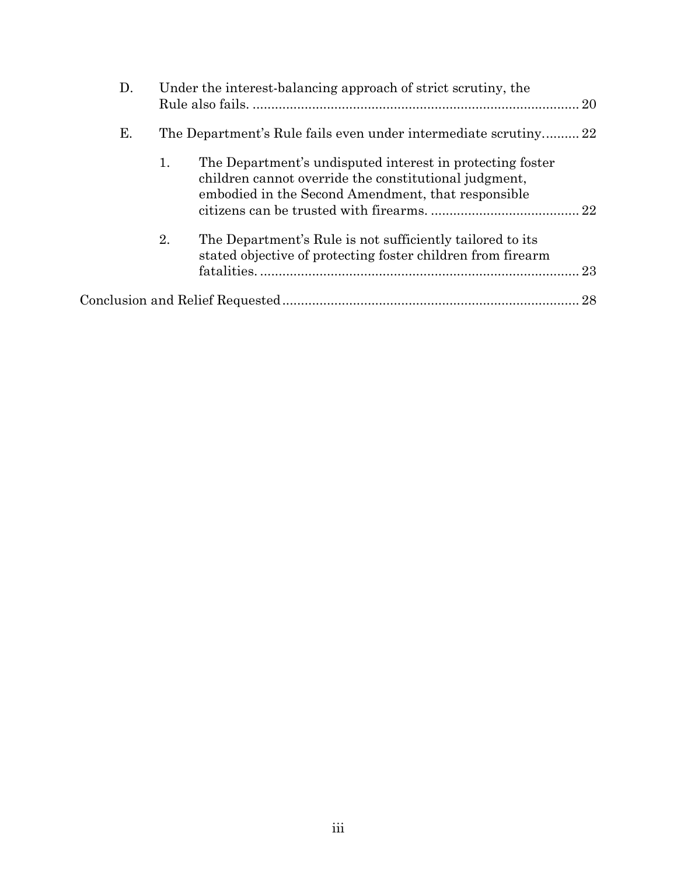| D. |                                                                 | Under the interest-balancing approach of strict scrutiny, the                                                                                                            |    |
|----|-----------------------------------------------------------------|--------------------------------------------------------------------------------------------------------------------------------------------------------------------------|----|
| Е. | The Department's Rule fails even under intermediate scrutiny 22 |                                                                                                                                                                          |    |
|    | 1.                                                              | The Department's undisputed interest in protecting foster<br>children cannot override the constitutional judgment,<br>embodied in the Second Amendment, that responsible |    |
|    | 2.                                                              | The Department's Rule is not sufficiently tailored to its<br>stated objective of protecting foster children from firearm                                                 | 23 |
|    |                                                                 |                                                                                                                                                                          | 28 |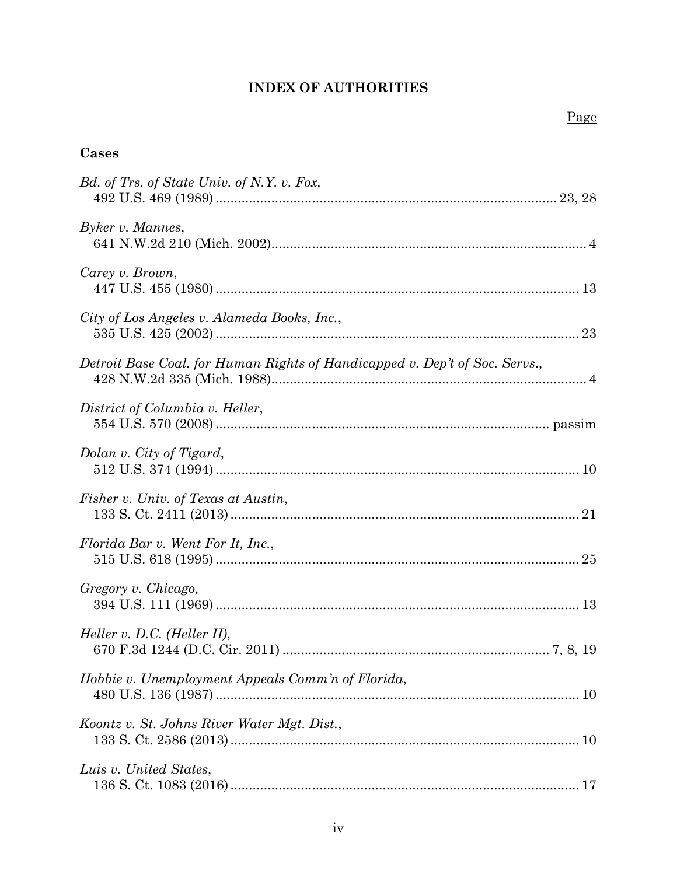## **INDEX OF AUTHORITIES**

## **Cases**

| Bd. of Trs. of State Univ. of N.Y. v. Fox,                                  |
|-----------------------------------------------------------------------------|
| Byker v. Mannes,                                                            |
| Carey v. Brown,                                                             |
| City of Los Angeles v. Alameda Books, Inc.,                                 |
| Detroit Base Coal. for Human Rights of Handicapped v. Dep't of Soc. Servs., |
| District of Columbia v. Heller,                                             |
| Dolan v. City of Tigard,                                                    |
| Fisher v. Univ. of Texas at Austin,                                         |
| Florida Bar v. Went For It, Inc.,                                           |
| Gregory v. Chicago,                                                         |
| <i>Heller v. D.C. (Heller II)</i> ,                                         |
| Hobbie v. Unemployment Appeals Comm'n of Florida,                           |
| Koontz v. St. Johns River Water Mgt. Dist.,                                 |
| Luis v. United States,                                                      |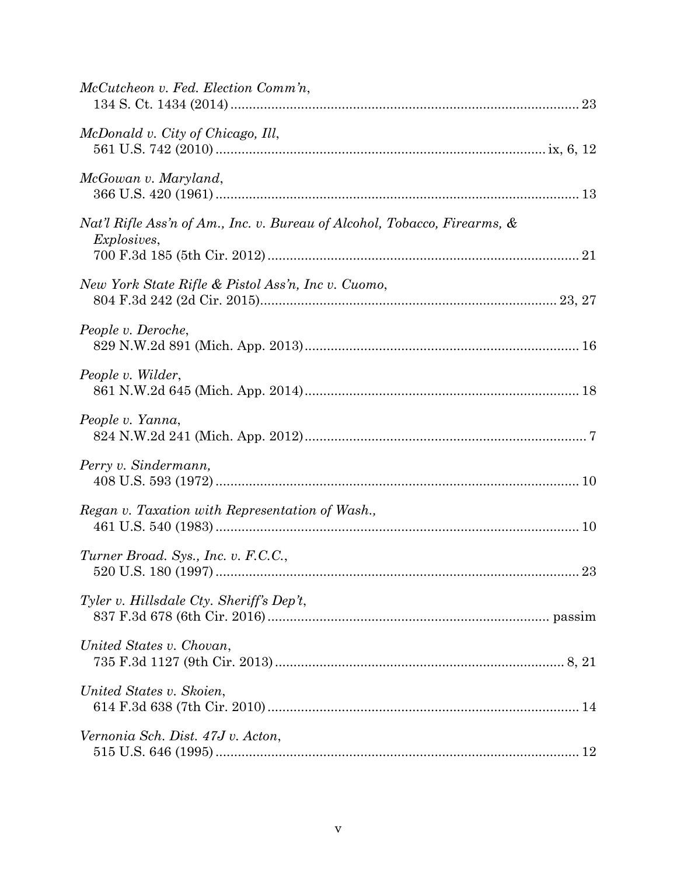| McCutcheon v. Fed. Election Comm'n,                                                             |
|-------------------------------------------------------------------------------------------------|
| McDonald v. City of Chicago, Ill,                                                               |
| McGowan v. Maryland,                                                                            |
| Nat'l Rifle Ass'n of Am., Inc. v. Bureau of Alcohol, Tobacco, Firearms, &<br><i>Explosives,</i> |
| New York State Rifle & Pistol Ass'n, Inc v. Cuomo,                                              |
| People v. Deroche,                                                                              |
| People v. Wilder,                                                                               |
| People v. Yanna,                                                                                |
| Perry v. Sindermann,                                                                            |
| Regan v. Taxation with Representation of Wash.,                                                 |
| Turner Broad. Sys., Inc. v. F.C.C.,                                                             |
| Tyler v. Hillsdale Cty. Sheriff's Dep't,                                                        |
| United States v. Chovan,                                                                        |
| United States v. Skoien,                                                                        |
| Vernonia Sch. Dist. 47J v. Acton,                                                               |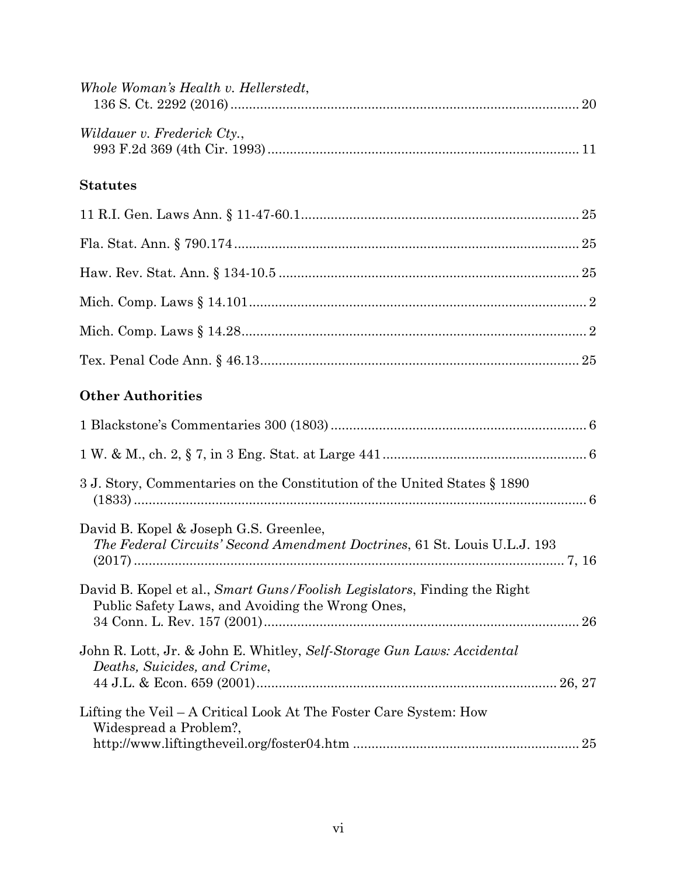| Whole Woman's Health v. Hellerstedt,                                                                                         |
|------------------------------------------------------------------------------------------------------------------------------|
| Wildauer v. Frederick Cty.,                                                                                                  |
| <b>Statutes</b>                                                                                                              |
|                                                                                                                              |
|                                                                                                                              |
|                                                                                                                              |
|                                                                                                                              |
|                                                                                                                              |
|                                                                                                                              |
| <b>Other Authorities</b>                                                                                                     |
|                                                                                                                              |
|                                                                                                                              |
| 3 J. Story, Commentaries on the Constitution of the United States § 1890                                                     |
| David B. Kopel & Joseph G.S. Greenlee,<br>The Federal Circuits' Second Amendment Doctrines, 61 St. Louis U.L.J. 193          |
| David B. Kopel et al., Smart Guns/Foolish Legislators, Finding the Right<br>Public Safety Laws, and Avoiding the Wrong Ones, |
| John R. Lott, Jr. & John E. Whitley, Self-Storage Gun Laws: Accidental<br>Deaths, Suicides, and Crime,                       |
| Lifting the Veil – A Critical Look At The Foster Care System: How<br>Widespread a Problem?,                                  |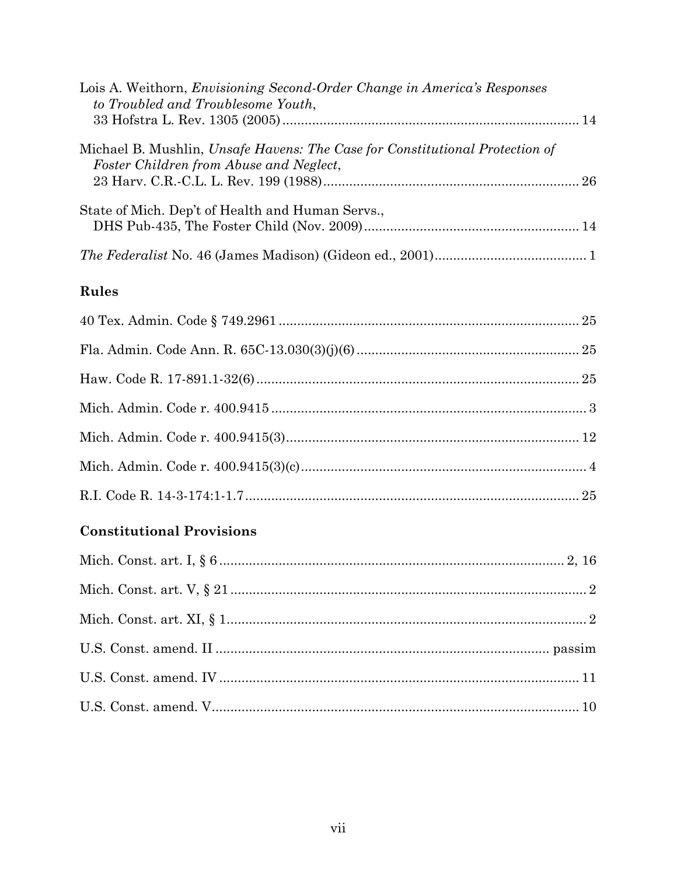| Lois A. Weithorn, <i>Envisioning Second-Order Change in America's Responses</i><br>to Troubled and Troublesome Youth,   |  |
|-------------------------------------------------------------------------------------------------------------------------|--|
| Michael B. Mushlin, Unsafe Havens: The Case for Constitutional Protection of<br>Foster Children from Abuse and Neglect, |  |
| State of Mich. Dep't of Health and Human Servs.,                                                                        |  |
|                                                                                                                         |  |

## Rules

# **Constitutional Provisions**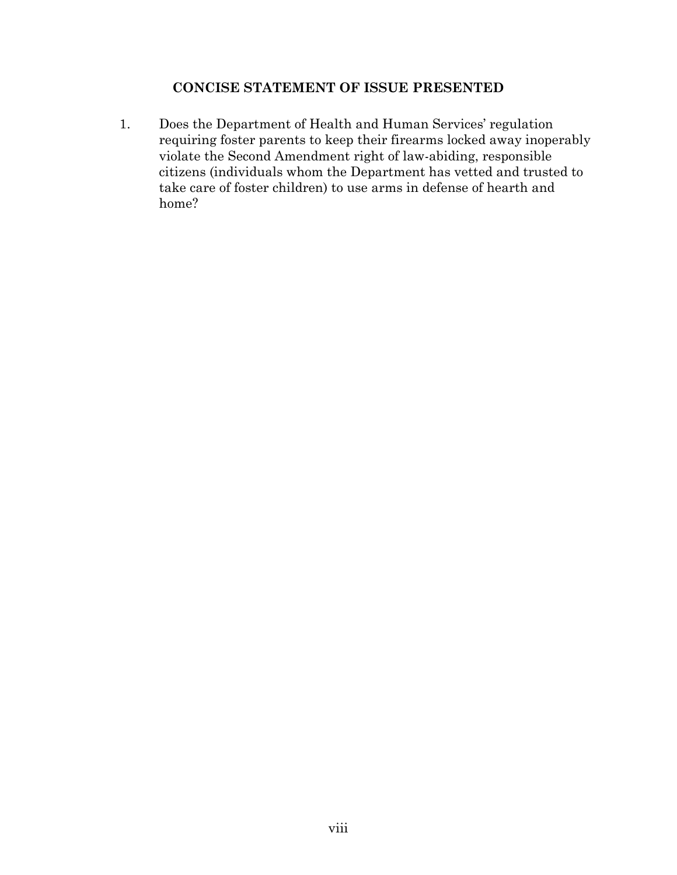### **CONCISE STATEMENT OF ISSUE PRESENTED**

1. Does the Department of Health and Human Services' regulation requiring foster parents to keep their firearms locked away inoperably violate the Second Amendment right of law-abiding, responsible citizens (individuals whom the Department has vetted and trusted to take care of foster children) to use arms in defense of hearth and home?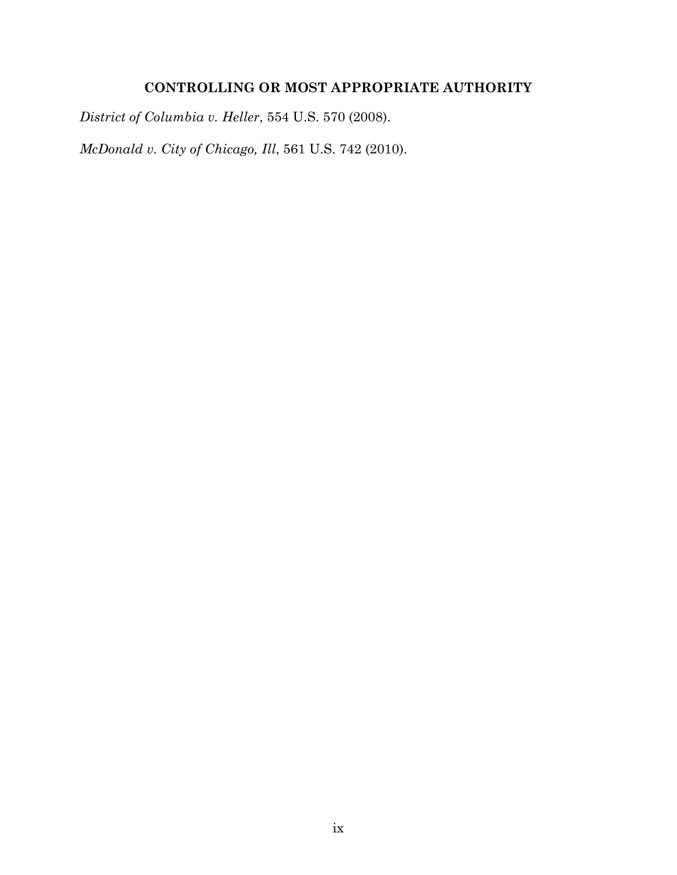## **CONTROLLING OR MOST APPROPRIATE AUTHORITY**

*District of Columbia v. Heller*, 554 U.S. 570 (2008).

*McDonald v. City of Chicago, Ill*, 561 U.S. 742 (2010).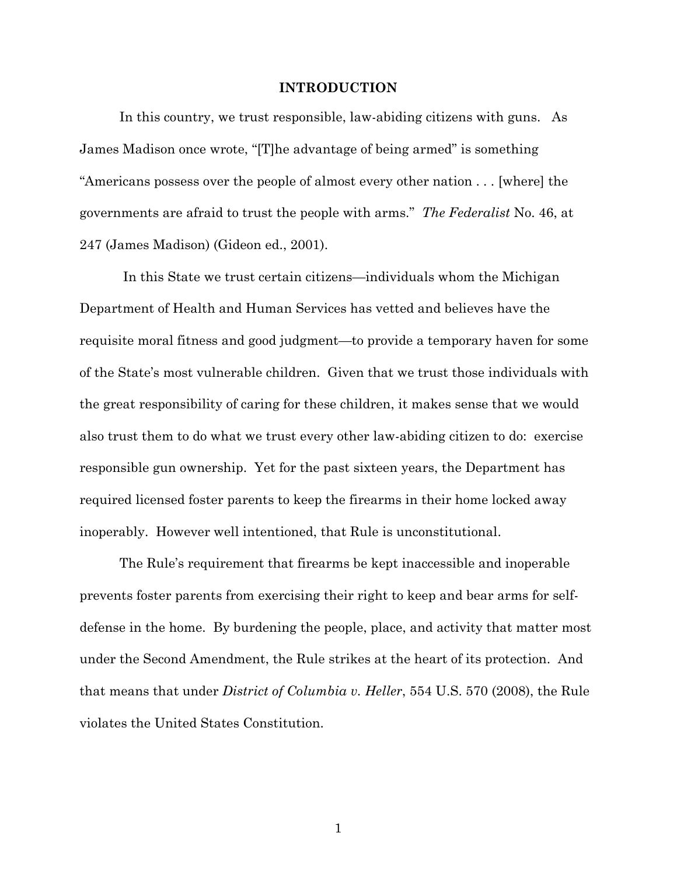#### **INTRODUCTION**

In this country, we trust responsible, law-abiding citizens with guns. As James Madison once wrote, "[T]he advantage of being armed" is something "Americans possess over the people of almost every other nation . . . [where] the governments are afraid to trust the people with arms." *The Federalist* No. 46, at 247 (James Madison) (Gideon ed., 2001).

In this State we trust certain citizens—individuals whom the Michigan Department of Health and Human Services has vetted and believes have the requisite moral fitness and good judgment—to provide a temporary haven for some of the State's most vulnerable children. Given that we trust those individuals with the great responsibility of caring for these children, it makes sense that we would also trust them to do what we trust every other law-abiding citizen to do: exercise responsible gun ownership. Yet for the past sixteen years, the Department has required licensed foster parents to keep the firearms in their home locked away inoperably. However well intentioned, that Rule is unconstitutional.

The Rule's requirement that firearms be kept inaccessible and inoperable prevents foster parents from exercising their right to keep and bear arms for selfdefense in the home. By burdening the people, place, and activity that matter most under the Second Amendment, the Rule strikes at the heart of its protection. And that means that under *District of Columbia v. Heller*, 554 U.S. 570 (2008), the Rule violates the United States Constitution.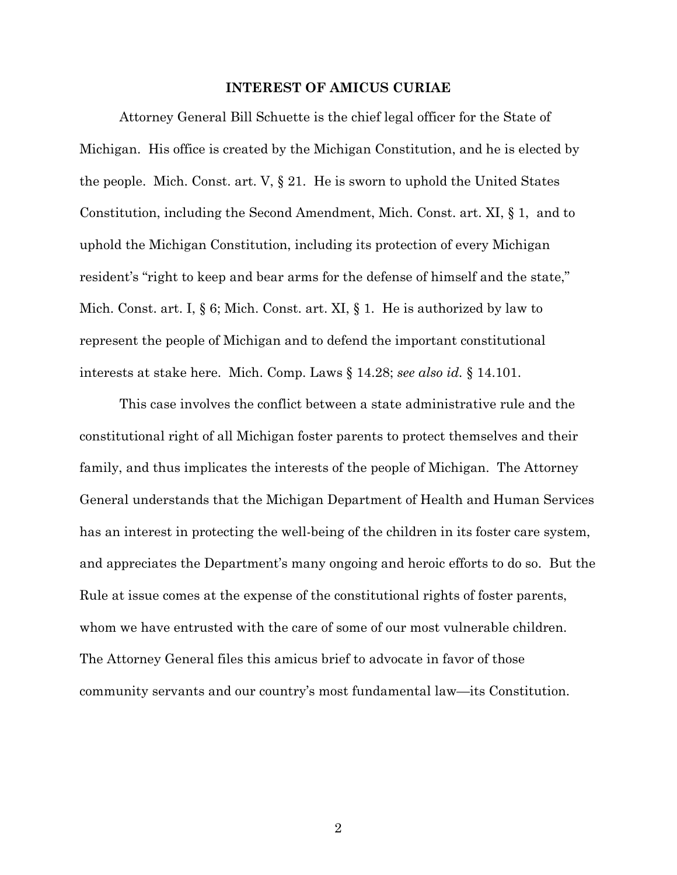#### **INTEREST OF AMICUS CURIAE**

Attorney General Bill Schuette is the chief legal officer for the State of Michigan. His office is created by the Michigan Constitution, and he is elected by the people. Mich. Const. art. V, § 21. He is sworn to uphold the United States Constitution, including the Second Amendment, Mich. Const. art. XI, § 1, and to uphold the Michigan Constitution, including its protection of every Michigan resident's "right to keep and bear arms for the defense of himself and the state," Mich. Const. art. I, § 6; Mich. Const. art. XI, § 1. He is authorized by law to represent the people of Michigan and to defend the important constitutional interests at stake here. Mich. Comp. Laws § 14.28; *see also id.* § 14.101.

This case involves the conflict between a state administrative rule and the constitutional right of all Michigan foster parents to protect themselves and their family, and thus implicates the interests of the people of Michigan. The Attorney General understands that the Michigan Department of Health and Human Services has an interest in protecting the well-being of the children in its foster care system, and appreciates the Department's many ongoing and heroic efforts to do so. But the Rule at issue comes at the expense of the constitutional rights of foster parents, whom we have entrusted with the care of some of our most vulnerable children. The Attorney General files this amicus brief to advocate in favor of those community servants and our country's most fundamental law—its Constitution.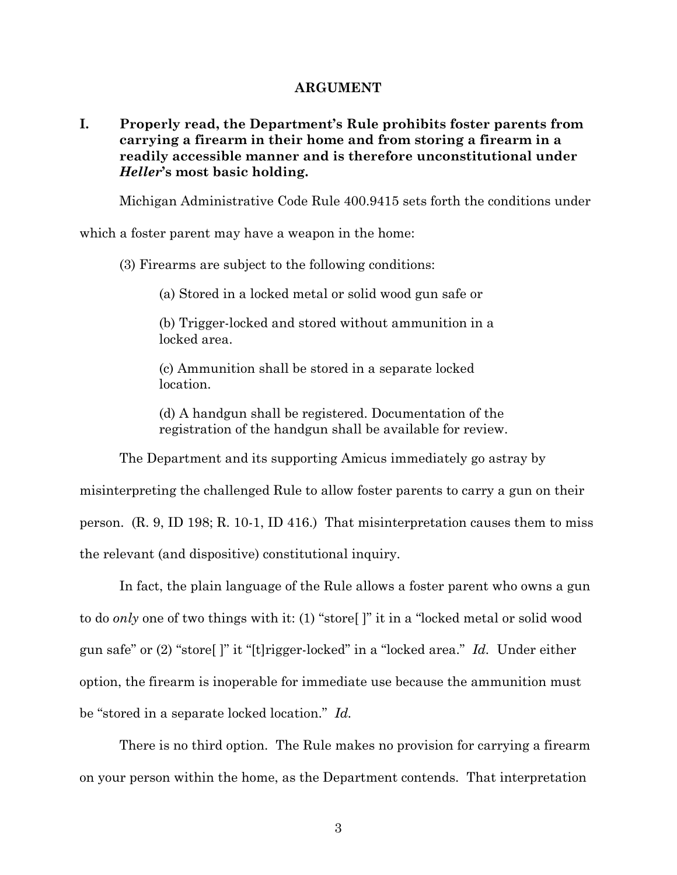#### **ARGUMENT**

**I. Properly read, the Department's Rule prohibits foster parents from carrying a firearm in their home and from storing a firearm in a readily accessible manner and is therefore unconstitutional under**  *Heller***'s most basic holding.**

Michigan Administrative Code Rule 400.9415 sets forth the conditions under

which a foster parent may have a weapon in the home:

(3) Firearms are subject to the following conditions:

(a) Stored in a locked metal or solid wood gun safe or

(b) Trigger-locked and stored without ammunition in a locked area.

(c) Ammunition shall be stored in a separate locked location.

(d) A handgun shall be registered. Documentation of the registration of the handgun shall be available for review.

The Department and its supporting Amicus immediately go astray by misinterpreting the challenged Rule to allow foster parents to carry a gun on their person. (R. 9, ID 198; R. 10-1, ID 416.) That misinterpretation causes them to miss the relevant (and dispositive) constitutional inquiry.

In fact, the plain language of the Rule allows a foster parent who owns a gun to do *only* one of two things with it: (1) "store[ ]" it in a "locked metal or solid wood gun safe" or (2) "store[ ]" it "[t]rigger-locked" in a "locked area." *Id.* Under either option, the firearm is inoperable for immediate use because the ammunition must be "stored in a separate locked location." *Id.*

There is no third option. The Rule makes no provision for carrying a firearm on your person within the home, as the Department contends. That interpretation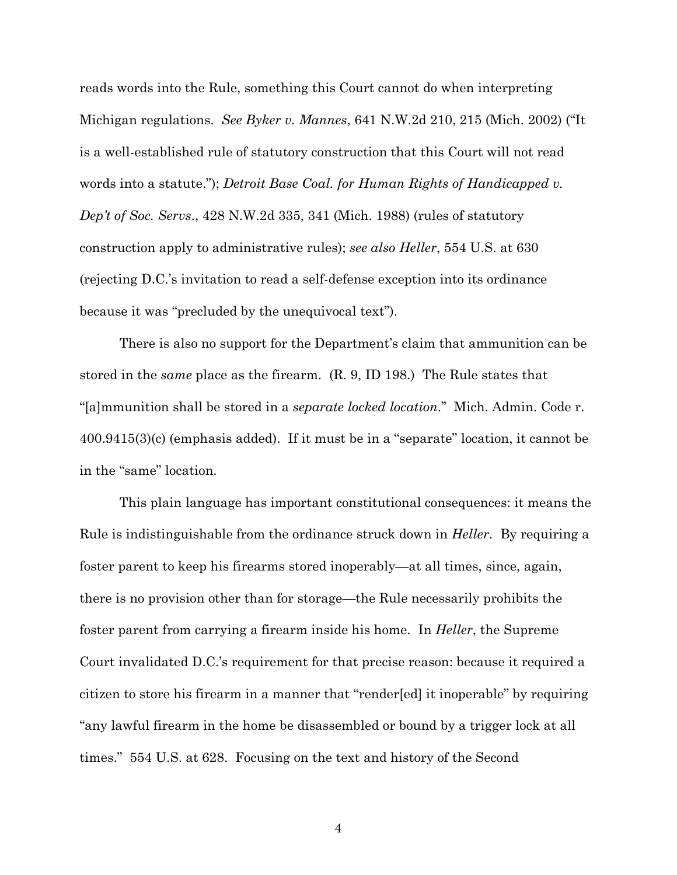reads words into the Rule, something this Court cannot do when interpreting Michigan regulations. *See Byker v. Mannes*, 641 N.W.2d 210, 215 (Mich. 2002) ("It is a well-established rule of statutory construction that this Court will not read words into a statute."); *Detroit Base Coal. for Human Rights of Handicapped v. Dep't of Soc. Servs*., 428 N.W.2d 335, 341 (Mich. 1988) (rules of statutory construction apply to administrative rules); *see also Heller*, 554 U.S. at 630 (rejecting D.C.'s invitation to read a self-defense exception into its ordinance because it was "precluded by the unequivocal text").

There is also no support for the Department's claim that ammunition can be stored in the *same* place as the firearm. (R. 9, ID 198.) The Rule states that "[a]mmunition shall be stored in a *separate locked location*." Mich. Admin. Code r. 400.9415(3)(c) (emphasis added). If it must be in a "separate" location, it cannot be in the "same" location.

This plain language has important constitutional consequences: it means the Rule is indistinguishable from the ordinance struck down in *Heller*. By requiring a foster parent to keep his firearms stored inoperably—at all times, since, again, there is no provision other than for storage—the Rule necessarily prohibits the foster parent from carrying a firearm inside his home. In *Heller*, the Supreme Court invalidated D.C.'s requirement for that precise reason: because it required a citizen to store his firearm in a manner that "render[ed] it inoperable" by requiring "any lawful firearm in the home be disassembled or bound by a trigger lock at all times." 554 U.S. at 628. Focusing on the text and history of the Second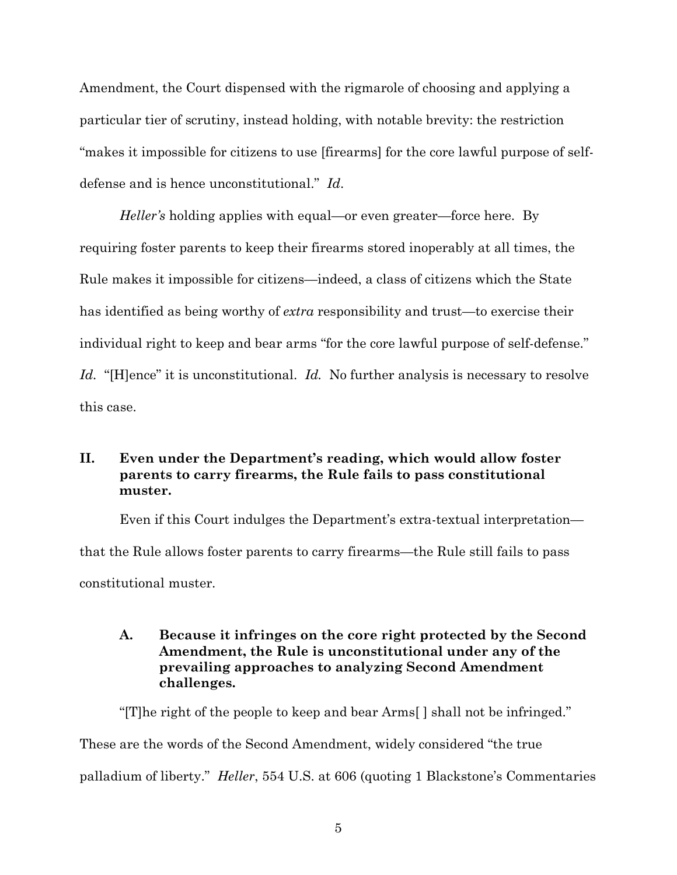Amendment, the Court dispensed with the rigmarole of choosing and applying a particular tier of scrutiny, instead holding, with notable brevity: the restriction "makes it impossible for citizens to use [firearms] for the core lawful purpose of selfdefense and is hence unconstitutional." *Id*.

*Heller's* holding applies with equal—or even greater—force here. By requiring foster parents to keep their firearms stored inoperably at all times, the Rule makes it impossible for citizens—indeed, a class of citizens which the State has identified as being worthy of *extra* responsibility and trust—to exercise their individual right to keep and bear arms "for the core lawful purpose of self-defense." Id. "[H]ence" it is unconstitutional. Id. No further analysis is necessary to resolve this case.

### **II. Even under the Department's reading, which would allow foster parents to carry firearms, the Rule fails to pass constitutional muster.**

Even if this Court indulges the Department's extra-textual interpretation that the Rule allows foster parents to carry firearms—the Rule still fails to pass constitutional muster.

### **A. Because it infringes on the core right protected by the Second Amendment, the Rule is unconstitutional under any of the prevailing approaches to analyzing Second Amendment challenges.**

"[T]he right of the people to keep and bear Arms[ ] shall not be infringed." These are the words of the Second Amendment, widely considered "the true palladium of liberty." *Heller*, 554 U.S. at 606 (quoting 1 Blackstone's Commentaries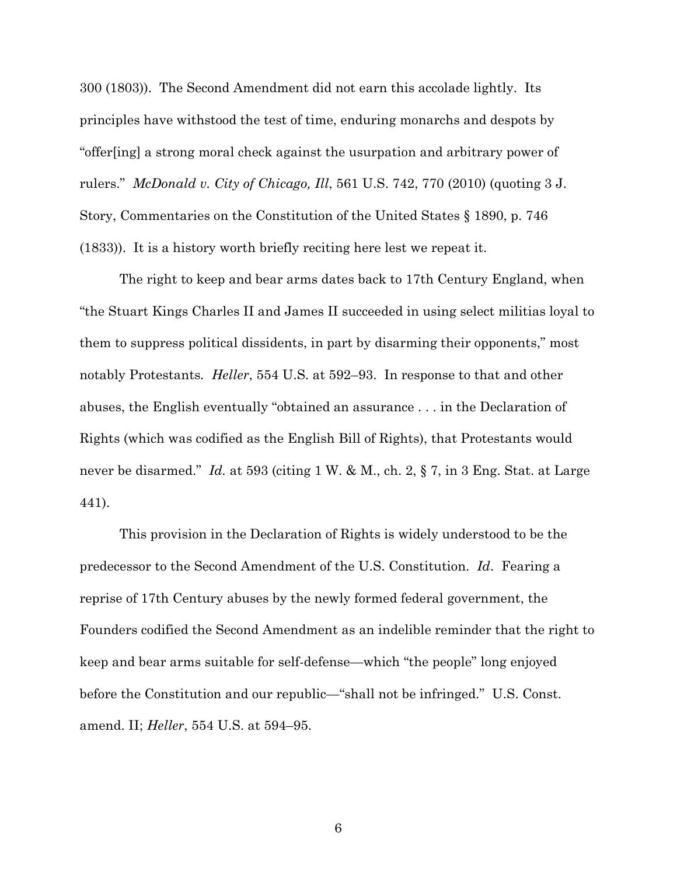300 (1803)). The Second Amendment did not earn this accolade lightly. Its principles have withstood the test of time, enduring monarchs and despots by "offer[ing] a strong moral check against the usurpation and arbitrary power of rulers." *McDonald v. City of Chicago, Ill*, 561 U.S. 742, 770 (2010) (quoting 3 J. Story, Commentaries on the Constitution of the United States § 1890, p. 746 (1833)). It is a history worth briefly reciting here lest we repeat it.

The right to keep and bear arms dates back to 17th Century England, when "the Stuart Kings Charles II and James II succeeded in using select militias loyal to them to suppress political dissidents, in part by disarming their opponents," most notably Protestants*. Heller*, 554 U.S. at 592–93. In response to that and other abuses, the English eventually "obtained an assurance . . . in the Declaration of Rights (which was codified as the English Bill of Rights), that Protestants would never be disarmed." *Id.* at 593 (citing 1 W. & M., ch. 2, § 7, in 3 Eng. Stat. at Large 441).

This provision in the Declaration of Rights is widely understood to be the predecessor to the Second Amendment of the U.S. Constitution. *Id*. Fearing a reprise of 17th Century abuses by the newly formed federal government, the Founders codified the Second Amendment as an indelible reminder that the right to keep and bear arms suitable for self-defense—which "the people" long enjoyed before the Constitution and our republic—"shall not be infringed." U.S. Const. amend. II; *Heller*, 554 U.S. at 594–95.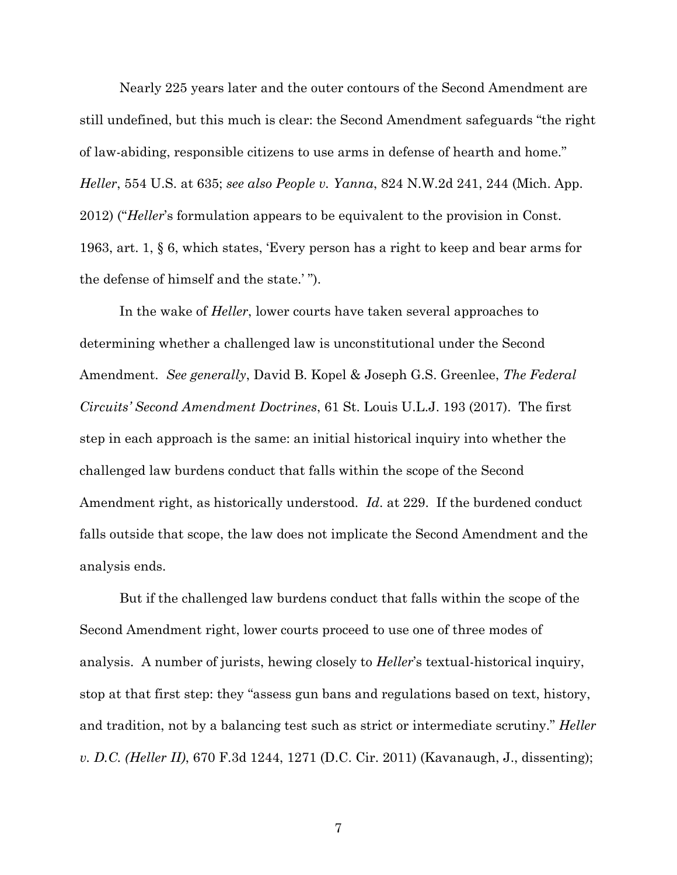Nearly 225 years later and the outer contours of the Second Amendment are still undefined, but this much is clear: the Second Amendment safeguards "the right of law-abiding, responsible citizens to use arms in defense of hearth and home." *Heller*, 554 U.S. at 635; *see also People v. Yanna*, 824 N.W.2d 241, 244 (Mich. App. 2012) ("*Heller*'s formulation appears to be equivalent to the provision in Const. 1963, art. 1, § 6, which states, 'Every person has a right to keep and bear arms for the defense of himself and the state.' ").

In the wake of *Heller*, lower courts have taken several approaches to determining whether a challenged law is unconstitutional under the Second Amendment. *See generally*, David B. Kopel & Joseph G.S. Greenlee, *The Federal Circuits' Second Amendment Doctrines*, 61 St. Louis U.L.J. 193 (2017). The first step in each approach is the same: an initial historical inquiry into whether the challenged law burdens conduct that falls within the scope of the Second Amendment right, as historically understood. *Id*. at 229. If the burdened conduct falls outside that scope, the law does not implicate the Second Amendment and the analysis ends.

But if the challenged law burdens conduct that falls within the scope of the Second Amendment right, lower courts proceed to use one of three modes of analysis. A number of jurists, hewing closely to *Heller*'s textual-historical inquiry, stop at that first step: they "assess gun bans and regulations based on text, history, and tradition, not by a balancing test such as strict or intermediate scrutiny." *Heller v. D.C. (Heller II)*, 670 F.3d 1244, 1271 (D.C. Cir. 2011) (Kavanaugh, J., dissenting);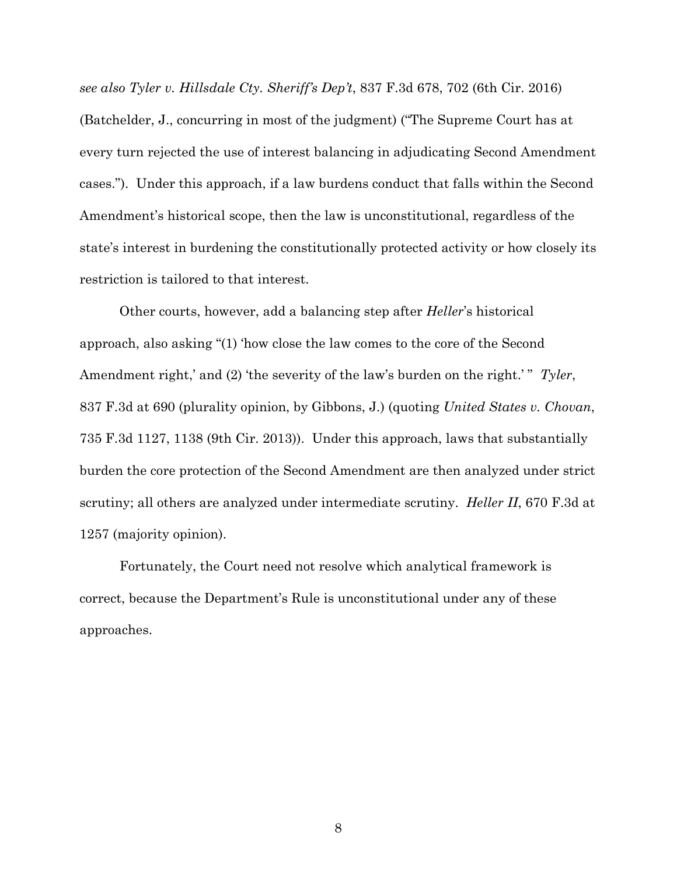*see also Tyler v. Hillsdale Cty. Sheriff's Dep't*, 837 F.3d 678, 702 (6th Cir. 2016) (Batchelder, J., concurring in most of the judgment) ("The Supreme Court has at every turn rejected the use of interest balancing in adjudicating Second Amendment cases."). Under this approach, if a law burdens conduct that falls within the Second Amendment's historical scope, then the law is unconstitutional, regardless of the state's interest in burdening the constitutionally protected activity or how closely its restriction is tailored to that interest.

Other courts, however, add a balancing step after *Heller*'s historical approach, also asking "(1) 'how close the law comes to the core of the Second Amendment right,' and (2) 'the severity of the law's burden on the right.'" Tyler, 837 F.3d at 690 (plurality opinion, by Gibbons, J.) (quoting *United States v. Chovan*, 735 F.3d 1127, 1138 (9th Cir. 2013)). Under this approach, laws that substantially burden the core protection of the Second Amendment are then analyzed under strict scrutiny; all others are analyzed under intermediate scrutiny. *Heller II*, 670 F.3d at 1257 (majority opinion).

Fortunately, the Court need not resolve which analytical framework is correct, because the Department's Rule is unconstitutional under any of these approaches.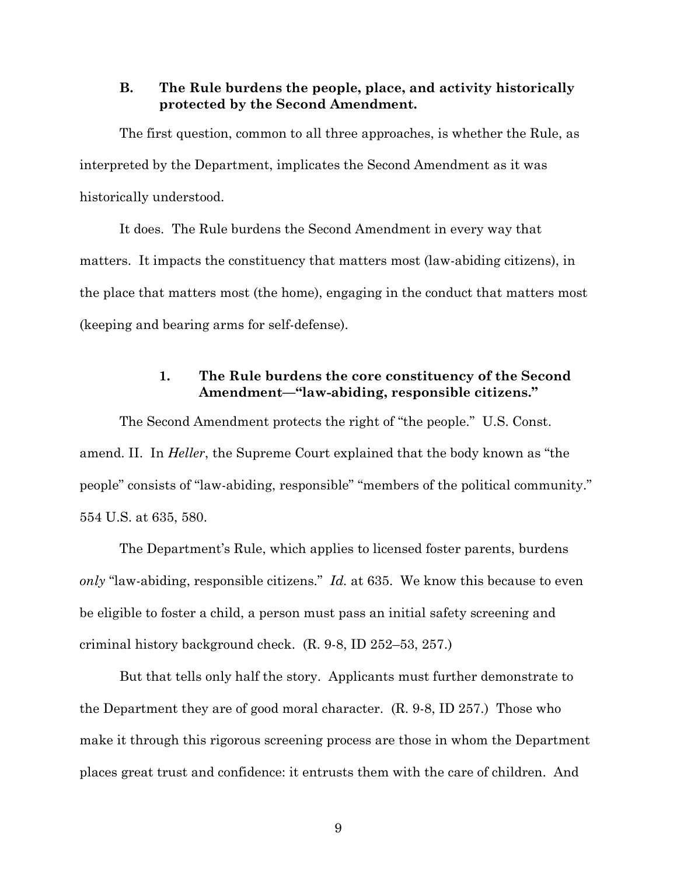#### **B. The Rule burdens the people, place, and activity historically protected by the Second Amendment.**

The first question, common to all three approaches, is whether the Rule, as interpreted by the Department, implicates the Second Amendment as it was historically understood.

It does. The Rule burdens the Second Amendment in every way that matters. It impacts the constituency that matters most (law-abiding citizens), in the place that matters most (the home), engaging in the conduct that matters most (keeping and bearing arms for self-defense).

#### **1. The Rule burdens the core constituency of the Second Amendment—"law-abiding, responsible citizens."**

The Second Amendment protects the right of "the people." U.S. Const. amend. II. In *Heller*, the Supreme Court explained that the body known as "the people" consists of "law-abiding, responsible" "members of the political community." 554 U.S. at 635, 580.

The Department's Rule, which applies to licensed foster parents, burdens *only* "law-abiding, responsible citizens." *Id.* at 635. We know this because to even be eligible to foster a child, a person must pass an initial safety screening and criminal history background check. (R. 9-8, ID 252–53, 257.)

But that tells only half the story. Applicants must further demonstrate to the Department they are of good moral character. (R. 9-8, ID 257.) Those who make it through this rigorous screening process are those in whom the Department places great trust and confidence: it entrusts them with the care of children. And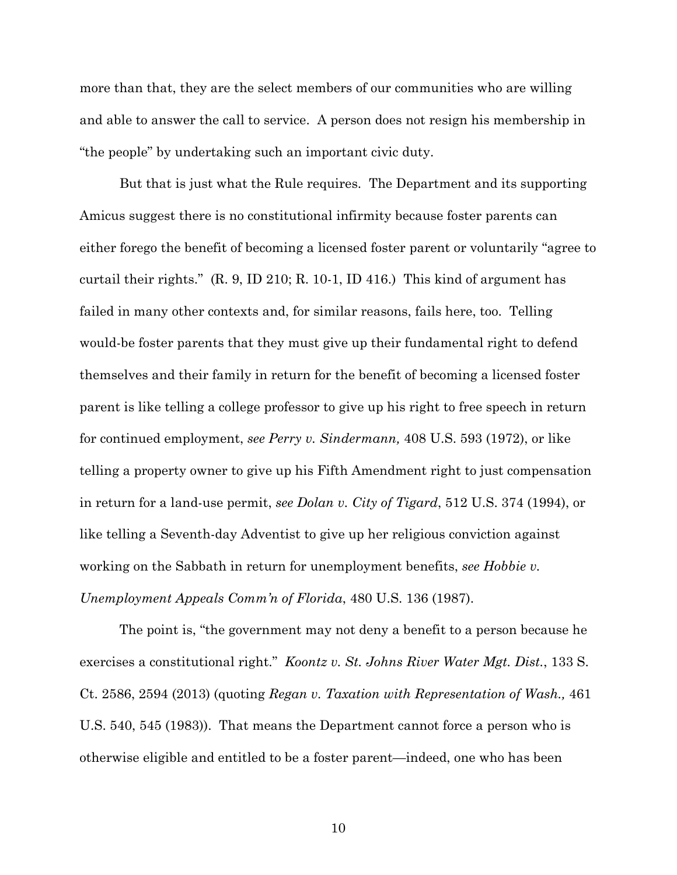more than that, they are the select members of our communities who are willing and able to answer the call to service. A person does not resign his membership in "the people" by undertaking such an important civic duty.

But that is just what the Rule requires. The Department and its supporting Amicus suggest there is no constitutional infirmity because foster parents can either forego the benefit of becoming a licensed foster parent or voluntarily "agree to curtail their rights." (R. 9, ID 210; R. 10-1, ID 416.) This kind of argument has failed in many other contexts and, for similar reasons, fails here, too. Telling would-be foster parents that they must give up their fundamental right to defend themselves and their family in return for the benefit of becoming a licensed foster parent is like telling a college professor to give up his right to free speech in return for continued employment, *see Perry v. Sindermann,* 408 U.S. 593 (1972), or like telling a property owner to give up his Fifth Amendment right to just compensation in return for a land-use permit, *see Dolan v. City of Tigard*, 512 U.S. 374 (1994), or like telling a Seventh-day Adventist to give up her religious conviction against working on the Sabbath in return for unemployment benefits, *see Hobbie v. Unemployment Appeals Comm'n of Florida*, 480 U.S. 136 (1987).

The point is, "the government may not deny a benefit to a person because he exercises a constitutional right." *Koontz v. St. Johns River Water Mgt. Dist.*, 133 S. Ct. 2586, 2594 (2013) (quoting *Regan v. Taxation with Representation of Wash.,* 461 U.S. 540, 545 (1983)). That means the Department cannot force a person who is otherwise eligible and entitled to be a foster parent—indeed, one who has been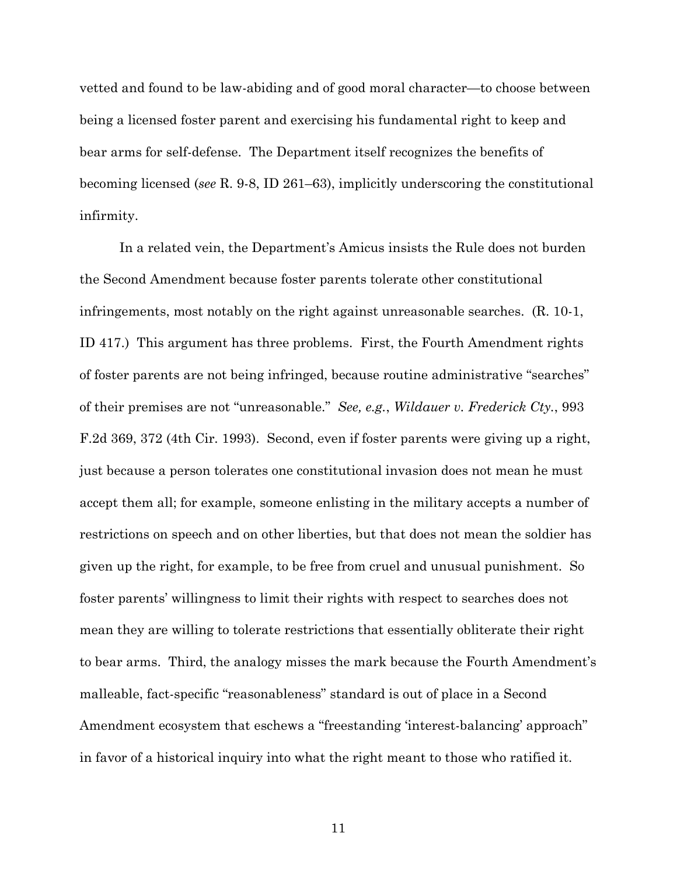vetted and found to be law-abiding and of good moral character—to choose between being a licensed foster parent and exercising his fundamental right to keep and bear arms for self-defense. The Department itself recognizes the benefits of becoming licensed (*see* R. 9-8, ID 261–63), implicitly underscoring the constitutional infirmity.

In a related vein, the Department's Amicus insists the Rule does not burden the Second Amendment because foster parents tolerate other constitutional infringements, most notably on the right against unreasonable searches. (R. 10-1, ID 417.) This argument has three problems. First, the Fourth Amendment rights of foster parents are not being infringed, because routine administrative "searches" of their premises are not "unreasonable." *See, e.g.*, *Wildauer v. Frederick Cty.*, 993 F.2d 369, 372 (4th Cir. 1993). Second, even if foster parents were giving up a right, just because a person tolerates one constitutional invasion does not mean he must accept them all; for example, someone enlisting in the military accepts a number of restrictions on speech and on other liberties, but that does not mean the soldier has given up the right, for example, to be free from cruel and unusual punishment. So foster parents' willingness to limit their rights with respect to searches does not mean they are willing to tolerate restrictions that essentially obliterate their right to bear arms. Third, the analogy misses the mark because the Fourth Amendment's malleable, fact-specific "reasonableness" standard is out of place in a Second Amendment ecosystem that eschews a "freestanding 'interest-balancing' approach" in favor of a historical inquiry into what the right meant to those who ratified it.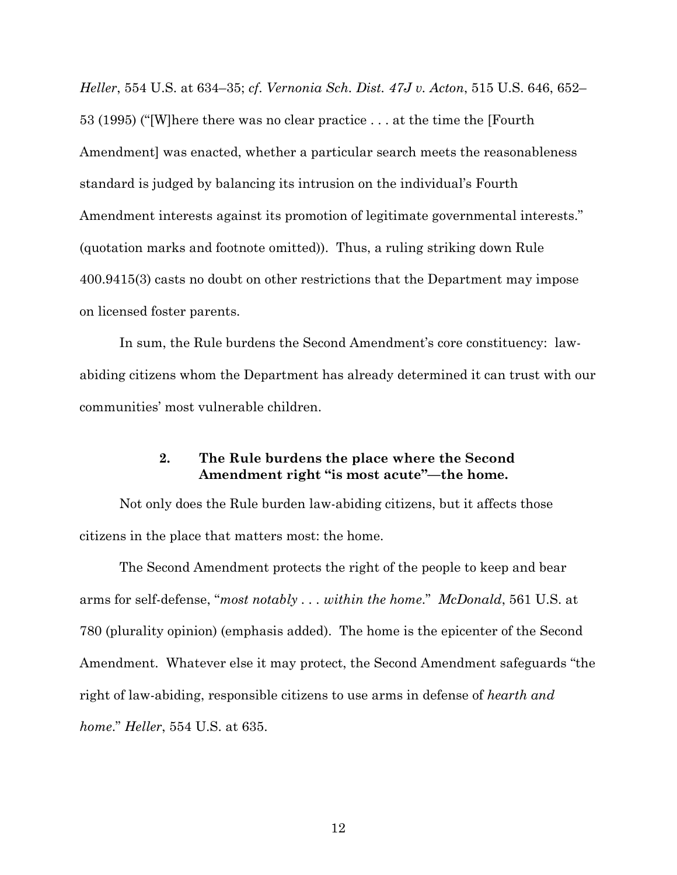*Heller*, 554 U.S. at 634–35; *cf*. *Vernonia Sch. Dist. 47J v. Acton*, 515 U.S. 646, 652– 53 (1995) ("[W]here there was no clear practice . . . at the time the [Fourth Amendment] was enacted, whether a particular search meets the reasonableness standard is judged by balancing its intrusion on the individual's Fourth Amendment interests against its promotion of legitimate governmental interests." (quotation marks and footnote omitted)). Thus, a ruling striking down Rule 400.9415(3) casts no doubt on other restrictions that the Department may impose on licensed foster parents.

In sum, the Rule burdens the Second Amendment's core constituency: lawabiding citizens whom the Department has already determined it can trust with our communities' most vulnerable children.

#### **2. The Rule burdens the place where the Second Amendment right "is most acute"—the home.**

Not only does the Rule burden law-abiding citizens, but it affects those citizens in the place that matters most: the home.

The Second Amendment protects the right of the people to keep and bear arms for self-defense, "*most notably . . . within the home*." *McDonald*, 561 U.S. at 780 (plurality opinion) (emphasis added). The home is the epicenter of the Second Amendment. Whatever else it may protect, the Second Amendment safeguards "the right of law-abiding, responsible citizens to use arms in defense of *hearth and home*." *Heller*, 554 U.S. at 635.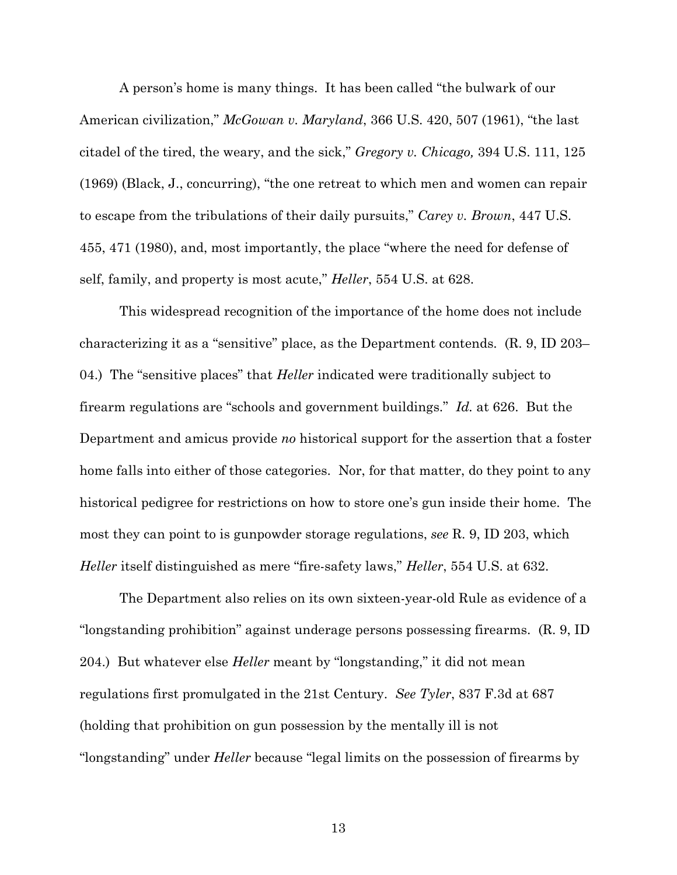A person's home is many things. It has been called "the bulwark of our American civilization," *McGowan v. Maryland*, 366 U.S. 420, 507 (1961), "the last citadel of the tired, the weary, and the sick," *Gregory v. Chicago,* 394 U.S. 111, 125 (1969) (Black, J., concurring), "the one retreat to which men and women can repair to escape from the tribulations of their daily pursuits," *Carey v. Brown*, 447 U.S. 455, 471 (1980), and, most importantly, the place "where the need for defense of self, family, and property is most acute," *Heller*, 554 U.S. at 628.

This widespread recognition of the importance of the home does not include characterizing it as a "sensitive" place, as the Department contends. (R. 9, ID 203– 04.) The "sensitive places" that *Heller* indicated were traditionally subject to firearm regulations are "schools and government buildings." *Id.* at 626. But the Department and amicus provide *no* historical support for the assertion that a foster home falls into either of those categories. Nor, for that matter, do they point to any historical pedigree for restrictions on how to store one's gun inside their home. The most they can point to is gunpowder storage regulations, *see* R. 9, ID 203, which *Heller* itself distinguished as mere "fire-safety laws," *Heller*, 554 U.S. at 632.

The Department also relies on its own sixteen-year-old Rule as evidence of a "longstanding prohibition" against underage persons possessing firearms. (R. 9, ID 204.) But whatever else *Heller* meant by "longstanding," it did not mean regulations first promulgated in the 21st Century. *See Tyler*, 837 F.3d at 687 (holding that prohibition on gun possession by the mentally ill is not "longstanding" under *Heller* because "legal limits on the possession of firearms by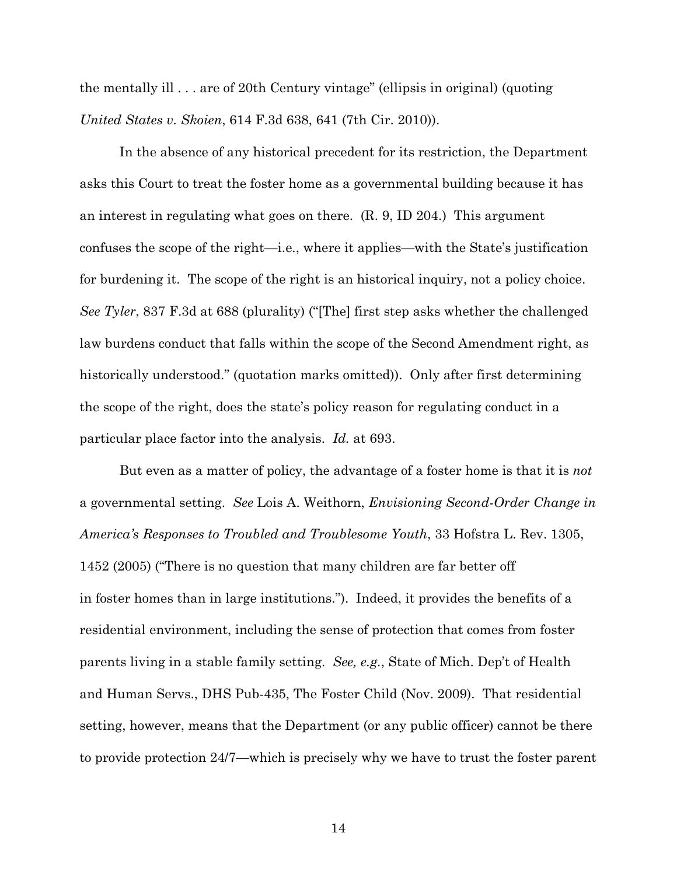the mentally ill . . . are of 20th Century vintage" (ellipsis in original) (quoting *United States v. Skoien*, 614 F.3d 638, 641 (7th Cir. 2010)).

In the absence of any historical precedent for its restriction, the Department asks this Court to treat the foster home as a governmental building because it has an interest in regulating what goes on there. (R. 9, ID 204.) This argument confuses the scope of the right—i.e., where it applies—with the State's justification for burdening it. The scope of the right is an historical inquiry, not a policy choice. *See Tyler*, 837 F.3d at 688 (plurality) ("[The] first step asks whether the challenged law burdens conduct that falls within the scope of the Second Amendment right, as historically understood." (quotation marks omitted)). Only after first determining the scope of the right, does the state's policy reason for regulating conduct in a particular place factor into the analysis. *Id.* at 693.

But even as a matter of policy, the advantage of a foster home is that it is *not* a governmental setting. *See* Lois A. Weithorn, *Envisioning Second-Order Change in America's Responses to Troubled and Troublesome Youth*, 33 Hofstra L. Rev. 1305, 1452 (2005) ("There is no question that many children are far better off in foster homes than in large institutions."). Indeed, it provides the benefits of a residential environment, including the sense of protection that comes from foster parents living in a stable family setting. *See, e.g.*, State of Mich. Dep't of Health and Human Servs., DHS Pub-435, The Foster Child (Nov. 2009). That residential setting, however, means that the Department (or any public officer) cannot be there to provide protection 24/7—which is precisely why we have to trust the foster parent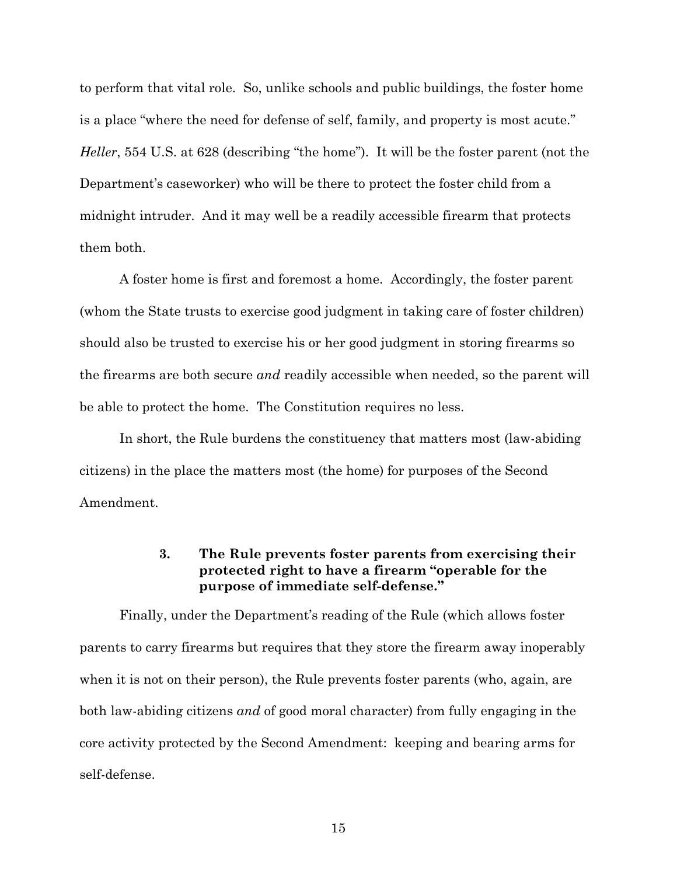to perform that vital role. So, unlike schools and public buildings, the foster home is a place "where the need for defense of self, family, and property is most acute." *Heller*, 554 U.S. at 628 (describing "the home"). It will be the foster parent (not the Department's caseworker) who will be there to protect the foster child from a midnight intruder. And it may well be a readily accessible firearm that protects them both.

A foster home is first and foremost a home. Accordingly, the foster parent (whom the State trusts to exercise good judgment in taking care of foster children) should also be trusted to exercise his or her good judgment in storing firearms so the firearms are both secure *and* readily accessible when needed, so the parent will be able to protect the home. The Constitution requires no less.

In short, the Rule burdens the constituency that matters most (law-abiding citizens) in the place the matters most (the home) for purposes of the Second Amendment.

#### **3. The Rule prevents foster parents from exercising their protected right to have a firearm "operable for the purpose of immediate self-defense."**

Finally, under the Department's reading of the Rule (which allows foster parents to carry firearms but requires that they store the firearm away inoperably when it is not on their person), the Rule prevents foster parents (who, again, are both law-abiding citizens *and* of good moral character) from fully engaging in the core activity protected by the Second Amendment: keeping and bearing arms for self-defense.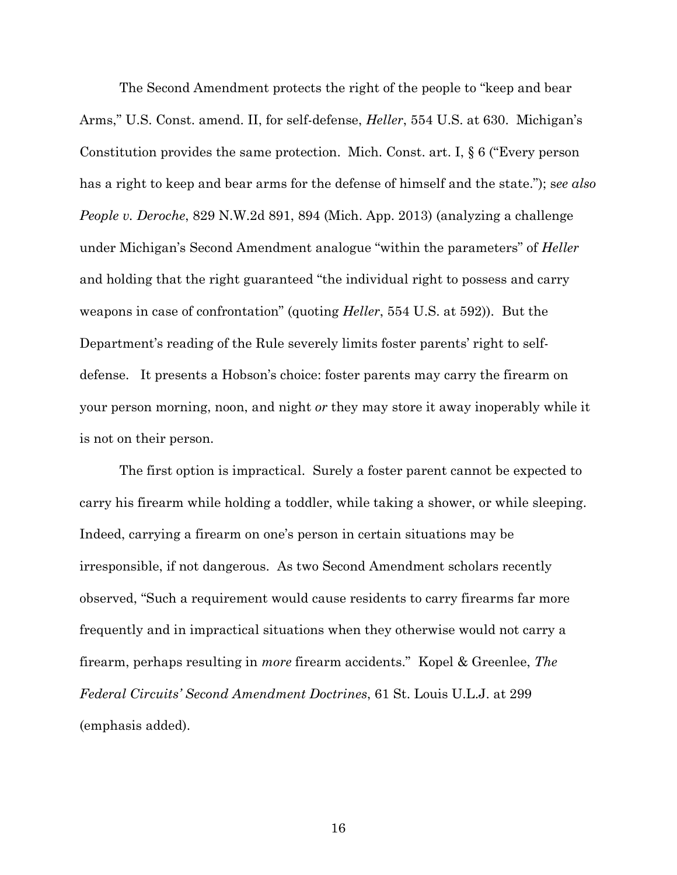The Second Amendment protects the right of the people to "keep and bear Arms," U.S. Const. amend. II, for self-defense, *Heller*, 554 U.S. at 630. Michigan's Constitution provides the same protection. Mich. Const. art. I, § 6 ("Every person has a right to keep and bear arms for the defense of himself and the state."); s*ee also People v. Deroche*, 829 N.W.2d 891, 894 (Mich. App. 2013) (analyzing a challenge under Michigan's Second Amendment analogue "within the parameters" of *Heller* and holding that the right guaranteed "the individual right to possess and carry weapons in case of confrontation" (quoting *Heller*, 554 U.S. at 592)). But the Department's reading of the Rule severely limits foster parents' right to selfdefense. It presents a Hobson's choice: foster parents may carry the firearm on your person morning, noon, and night *or* they may store it away inoperably while it is not on their person.

The first option is impractical. Surely a foster parent cannot be expected to carry his firearm while holding a toddler, while taking a shower, or while sleeping. Indeed, carrying a firearm on one's person in certain situations may be irresponsible, if not dangerous. As two Second Amendment scholars recently observed, "Such a requirement would cause residents to carry firearms far more frequently and in impractical situations when they otherwise would not carry a firearm, perhaps resulting in *more* firearm accidents." Kopel & Greenlee, *The Federal Circuits' Second Amendment Doctrines*, 61 St. Louis U.L.J. at 299 (emphasis added).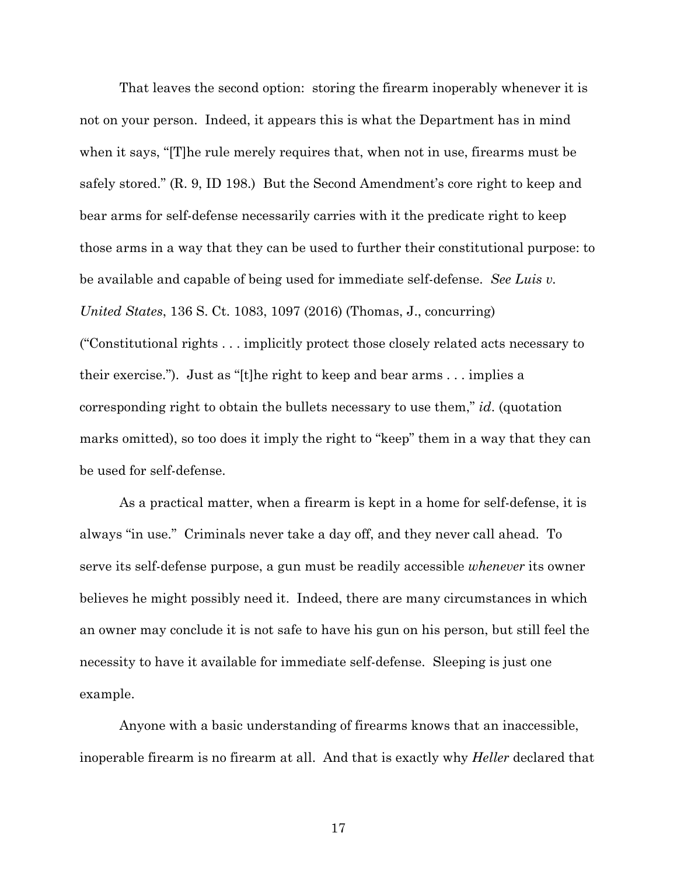That leaves the second option: storing the firearm inoperably whenever it is not on your person. Indeed, it appears this is what the Department has in mind when it says, "[T]he rule merely requires that, when not in use, firearms must be safely stored." (R. 9, ID 198.) But the Second Amendment's core right to keep and bear arms for self-defense necessarily carries with it the predicate right to keep those arms in a way that they can be used to further their constitutional purpose: to be available and capable of being used for immediate self-defense. *See Luis v. United States*, 136 S. Ct. 1083, 1097 (2016) (Thomas, J., concurring) ("Constitutional rights . . . implicitly protect those closely related acts necessary to their exercise."). Just as "[t]he right to keep and bear arms . . . implies a corresponding right to obtain the bullets necessary to use them," *id*. (quotation marks omitted), so too does it imply the right to "keep" them in a way that they can be used for self-defense.

As a practical matter, when a firearm is kept in a home for self-defense, it is always "in use." Criminals never take a day off, and they never call ahead. To serve its self-defense purpose, a gun must be readily accessible *whenever* its owner believes he might possibly need it. Indeed, there are many circumstances in which an owner may conclude it is not safe to have his gun on his person, but still feel the necessity to have it available for immediate self-defense. Sleeping is just one example.

Anyone with a basic understanding of firearms knows that an inaccessible, inoperable firearm is no firearm at all. And that is exactly why *Heller* declared that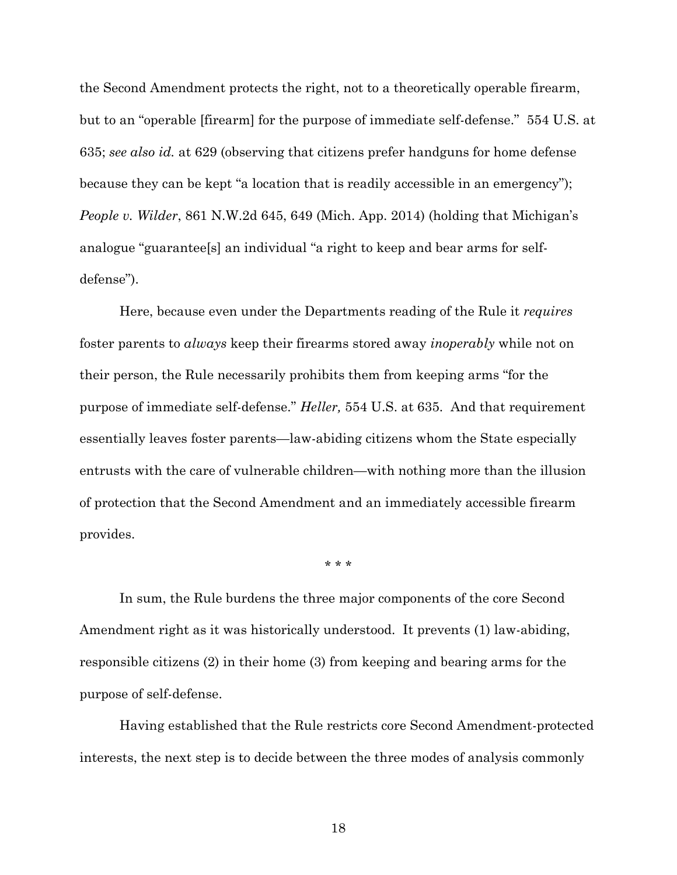the Second Amendment protects the right, not to a theoretically operable firearm, but to an "operable [firearm] for the purpose of immediate self-defense." 554 U.S. at 635; *see also id.* at 629 (observing that citizens prefer handguns for home defense because they can be kept "a location that is readily accessible in an emergency"); *People v. Wilder*, 861 N.W.2d 645, 649 (Mich. App. 2014) (holding that Michigan's analogue "guarantee[s] an individual "a right to keep and bear arms for selfdefense").

Here, because even under the Departments reading of the Rule it *requires* foster parents to *always* keep their firearms stored away *inoperably* while not on their person, the Rule necessarily prohibits them from keeping arms "for the purpose of immediate self-defense." *Heller,* 554 U.S. at 635. And that requirement essentially leaves foster parents—law-abiding citizens whom the State especially entrusts with the care of vulnerable children—with nothing more than the illusion of protection that the Second Amendment and an immediately accessible firearm provides.

\* \* \*

In sum, the Rule burdens the three major components of the core Second Amendment right as it was historically understood. It prevents (1) law-abiding, responsible citizens (2) in their home (3) from keeping and bearing arms for the purpose of self-defense.

Having established that the Rule restricts core Second Amendment-protected interests, the next step is to decide between the three modes of analysis commonly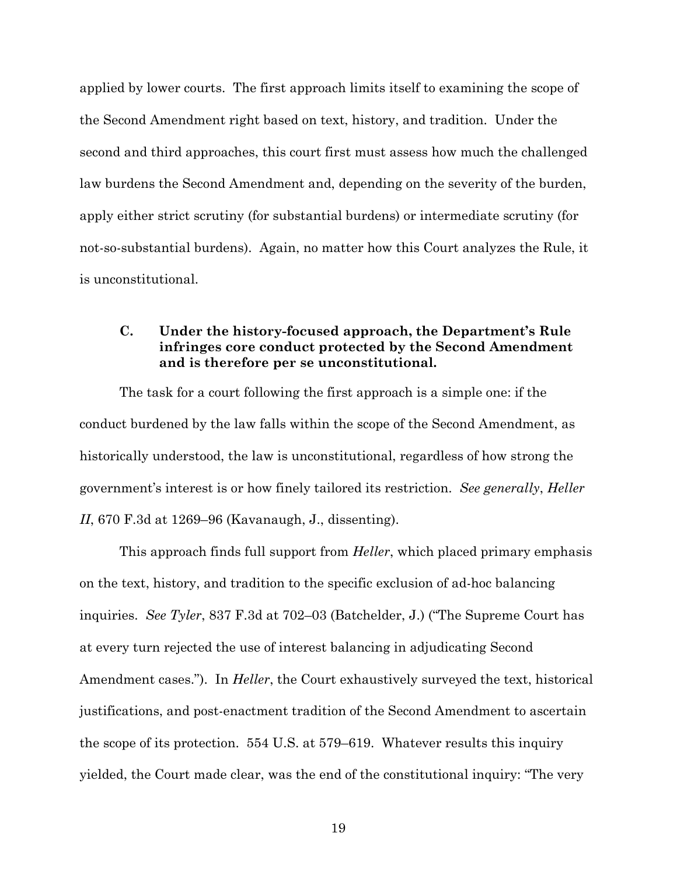applied by lower courts. The first approach limits itself to examining the scope of the Second Amendment right based on text, history, and tradition. Under the second and third approaches, this court first must assess how much the challenged law burdens the Second Amendment and, depending on the severity of the burden, apply either strict scrutiny (for substantial burdens) or intermediate scrutiny (for not-so-substantial burdens). Again, no matter how this Court analyzes the Rule, it is unconstitutional.

### **C. Under the history-focused approach, the Department's Rule infringes core conduct protected by the Second Amendment and is therefore per se unconstitutional.**

The task for a court following the first approach is a simple one: if the conduct burdened by the law falls within the scope of the Second Amendment, as historically understood, the law is unconstitutional, regardless of how strong the government's interest is or how finely tailored its restriction. *See generally*, *Heller II*, 670 F.3d at 1269–96 (Kavanaugh, J., dissenting).

This approach finds full support from *Heller*, which placed primary emphasis on the text, history, and tradition to the specific exclusion of ad-hoc balancing inquiries. *See Tyler*, 837 F.3d at 702–03 (Batchelder, J.) ("The Supreme Court has at every turn rejected the use of interest balancing in adjudicating Second Amendment cases."). In *Heller*, the Court exhaustively surveyed the text, historical justifications, and post-enactment tradition of the Second Amendment to ascertain the scope of its protection. 554 U.S. at 579–619. Whatever results this inquiry yielded, the Court made clear, was the end of the constitutional inquiry: "The very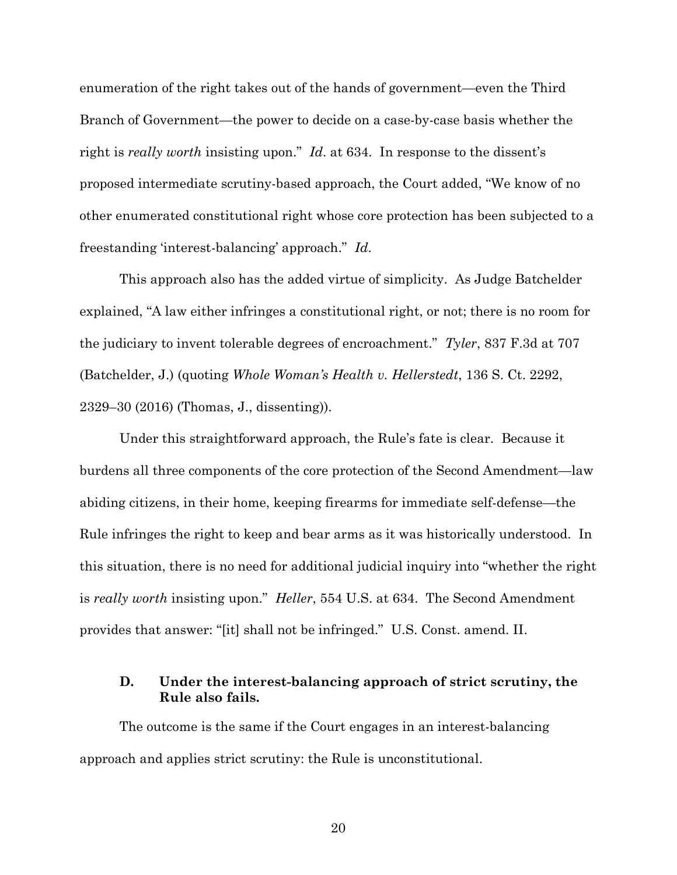enumeration of the right takes out of the hands of government—even the Third Branch of Government—the power to decide on a case-by-case basis whether the right is *really worth* insisting upon." *Id*. at 634. In response to the dissent's proposed intermediate scrutiny-based approach, the Court added, "We know of no other enumerated constitutional right whose core protection has been subjected to a freestanding 'interest-balancing' approach." *Id*.

This approach also has the added virtue of simplicity. As Judge Batchelder explained, "A law either infringes a constitutional right, or not; there is no room for the judiciary to invent tolerable degrees of encroachment." *Tyler*, 837 F.3d at 707 (Batchelder, J.) (quoting *Whole Woman's Health v. Hellerstedt*, 136 S. Ct. 2292, 2329–30 (2016) (Thomas, J., dissenting)).

Under this straightforward approach, the Rule's fate is clear. Because it burdens all three components of the core protection of the Second Amendment—law abiding citizens, in their home, keeping firearms for immediate self-defense—the Rule infringes the right to keep and bear arms as it was historically understood. In this situation, there is no need for additional judicial inquiry into "whether the right is *really worth* insisting upon." *Heller*, 554 U.S. at 634. The Second Amendment provides that answer: "[it] shall not be infringed." U.S. Const. amend. II.

### **D. Under the interest-balancing approach of strict scrutiny, the Rule also fails.**

The outcome is the same if the Court engages in an interest-balancing approach and applies strict scrutiny: the Rule is unconstitutional.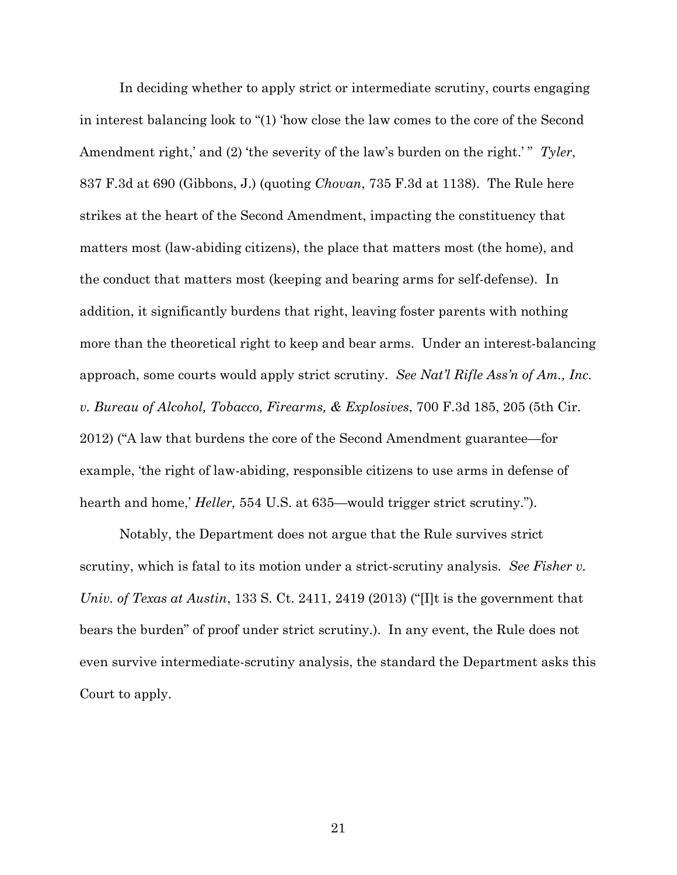In deciding whether to apply strict or intermediate scrutiny, courts engaging in interest balancing look to "(1) 'how close the law comes to the core of the Second Amendment right,' and (2) 'the severity of the law's burden on the right.'" Tyler, 837 F.3d at 690 (Gibbons, J.) (quoting *Chovan*, 735 F.3d at 1138). The Rule here strikes at the heart of the Second Amendment, impacting the constituency that matters most (law-abiding citizens), the place that matters most (the home), and the conduct that matters most (keeping and bearing arms for self-defense). In addition, it significantly burdens that right, leaving foster parents with nothing more than the theoretical right to keep and bear arms. Under an interest-balancing approach, some courts would apply strict scrutiny. *See Nat'l Rifle Ass'n of Am., Inc. v. Bureau of Alcohol, Tobacco, Firearms, & Explosives*, 700 F.3d 185, 205 (5th Cir. 2012) ("A law that burdens the core of the Second Amendment guarantee—for example, 'the right of law-abiding, responsible citizens to use arms in defense of hearth and home,' *Heller,* 554 U.S. at 635—would trigger strict scrutiny.").

Notably, the Department does not argue that the Rule survives strict scrutiny, which is fatal to its motion under a strict-scrutiny analysis. *See Fisher v. Univ. of Texas at Austin*, 133 S. Ct. 2411, 2419 (2013) ("[I]t is the government that bears the burden" of proof under strict scrutiny.). In any event, the Rule does not even survive intermediate-scrutiny analysis, the standard the Department asks this Court to apply.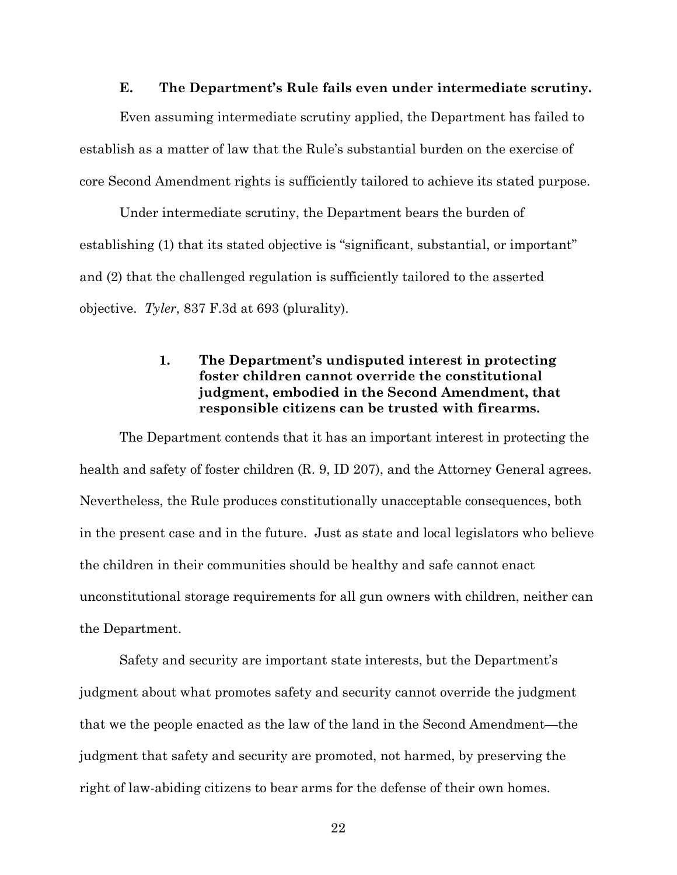#### **E. The Department's Rule fails even under intermediate scrutiny.**

Even assuming intermediate scrutiny applied, the Department has failed to establish as a matter of law that the Rule's substantial burden on the exercise of core Second Amendment rights is sufficiently tailored to achieve its stated purpose.

Under intermediate scrutiny, the Department bears the burden of establishing (1) that its stated objective is "significant, substantial, or important" and (2) that the challenged regulation is sufficiently tailored to the asserted objective. *Tyler*, 837 F.3d at 693 (plurality).

### **1. The Department's undisputed interest in protecting foster children cannot override the constitutional judgment, embodied in the Second Amendment, that responsible citizens can be trusted with firearms.**

The Department contends that it has an important interest in protecting the health and safety of foster children (R. 9, ID 207), and the Attorney General agrees. Nevertheless, the Rule produces constitutionally unacceptable consequences, both in the present case and in the future. Just as state and local legislators who believe the children in their communities should be healthy and safe cannot enact unconstitutional storage requirements for all gun owners with children, neither can the Department.

Safety and security are important state interests, but the Department's judgment about what promotes safety and security cannot override the judgment that we the people enacted as the law of the land in the Second Amendment—the judgment that safety and security are promoted, not harmed, by preserving the right of law-abiding citizens to bear arms for the defense of their own homes.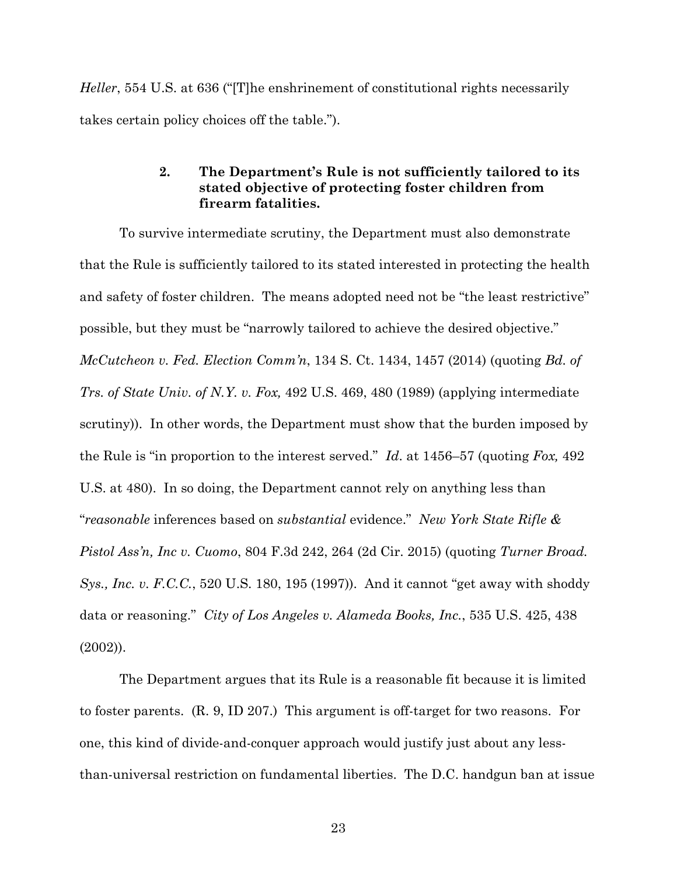*Heller*, 554 U.S. at 636 ("[T]he enshrinement of constitutional rights necessarily takes certain policy choices off the table.").

#### **2. The Department's Rule is not sufficiently tailored to its stated objective of protecting foster children from firearm fatalities.**

To survive intermediate scrutiny, the Department must also demonstrate that the Rule is sufficiently tailored to its stated interested in protecting the health and safety of foster children. The means adopted need not be "the least restrictive" possible, but they must be "narrowly tailored to achieve the desired objective." *McCutcheon v. Fed. Election Comm'n*, 134 S. Ct. 1434, 1457 (2014) (quoting *Bd. of Trs. of State Univ. of N.Y. v. Fox,* 492 U.S. 469, 480 (1989) (applying intermediate scrutiny)). In other words, the Department must show that the burden imposed by the Rule is "in proportion to the interest served." *Id*. at 1456–57 (quoting *Fox,* 492 U.S. at 480). In so doing, the Department cannot rely on anything less than "*reasonable* inferences based on *substantial* evidence." *New York State Rifle & Pistol Ass'n, Inc v. Cuomo*, 804 F.3d 242, 264 (2d Cir. 2015) (quoting *Turner Broad. Sys., Inc. v. F.C.C.*, 520 U.S. 180, 195 (1997)). And it cannot "get away with shoddy data or reasoning." *City of Los Angeles v. Alameda Books, Inc.*, 535 U.S. 425, 438 (2002)).

The Department argues that its Rule is a reasonable fit because it is limited to foster parents. (R. 9, ID 207.) This argument is off-target for two reasons. For one, this kind of divide-and-conquer approach would justify just about any lessthan-universal restriction on fundamental liberties. The D.C. handgun ban at issue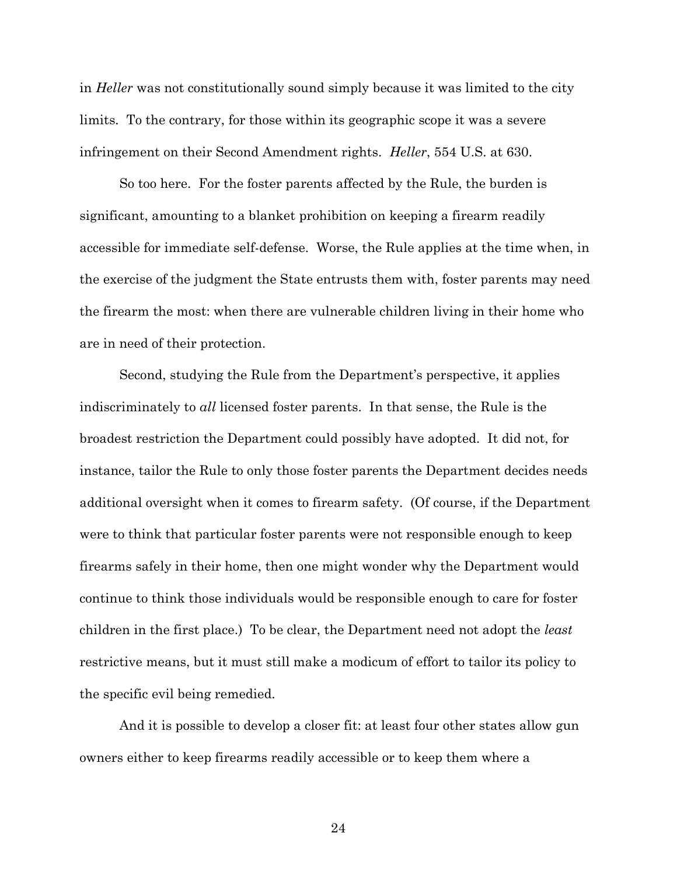in *Heller* was not constitutionally sound simply because it was limited to the city limits. To the contrary, for those within its geographic scope it was a severe infringement on their Second Amendment rights. *Heller*, 554 U.S. at 630.

So too here. For the foster parents affected by the Rule, the burden is significant, amounting to a blanket prohibition on keeping a firearm readily accessible for immediate self-defense. Worse, the Rule applies at the time when, in the exercise of the judgment the State entrusts them with, foster parents may need the firearm the most: when there are vulnerable children living in their home who are in need of their protection.

Second, studying the Rule from the Department's perspective, it applies indiscriminately to *all* licensed foster parents. In that sense, the Rule is the broadest restriction the Department could possibly have adopted. It did not, for instance, tailor the Rule to only those foster parents the Department decides needs additional oversight when it comes to firearm safety. (Of course, if the Department were to think that particular foster parents were not responsible enough to keep firearms safely in their home, then one might wonder why the Department would continue to think those individuals would be responsible enough to care for foster children in the first place.) To be clear, the Department need not adopt the *least* restrictive means, but it must still make a modicum of effort to tailor its policy to the specific evil being remedied.

And it is possible to develop a closer fit: at least four other states allow gun owners either to keep firearms readily accessible or to keep them where a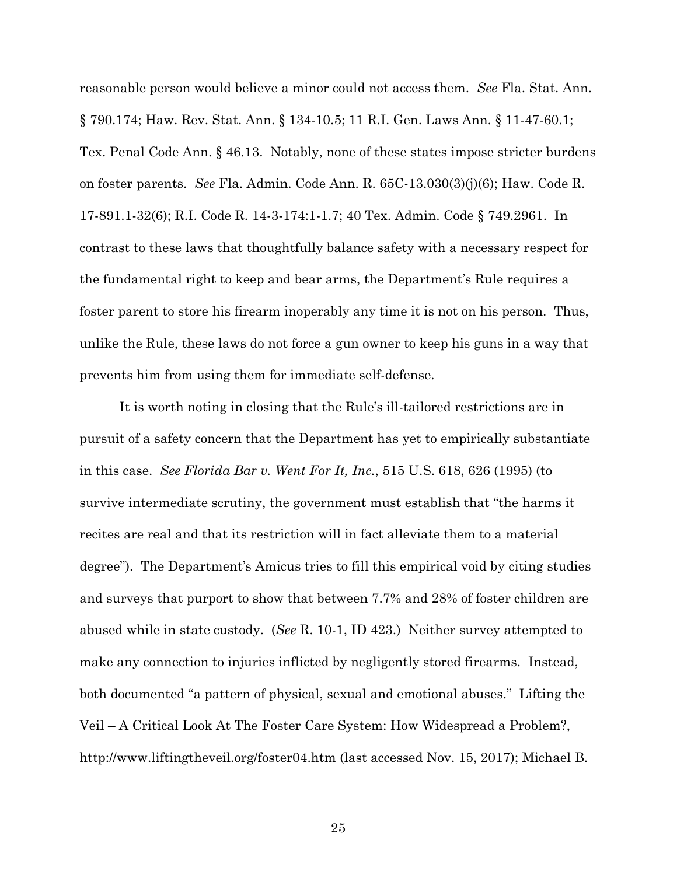reasonable person would believe a minor could not access them. *See* Fla. Stat. Ann. § 790.174; Haw. Rev. Stat. Ann. § 134-10.5; 11 R.I. Gen. Laws Ann. § 11-47-60.1; Tex. Penal Code Ann. § 46.13. Notably, none of these states impose stricter burdens on foster parents. *See* Fla. Admin. Code Ann. R. 65C-13.030(3)(j)(6); Haw. Code R. 17-891.1-32(6); R.I. Code R. 14-3-174:1-1.7; 40 Tex. Admin. Code § 749.2961. In contrast to these laws that thoughtfully balance safety with a necessary respect for the fundamental right to keep and bear arms, the Department's Rule requires a foster parent to store his firearm inoperably any time it is not on his person. Thus, unlike the Rule, these laws do not force a gun owner to keep his guns in a way that prevents him from using them for immediate self-defense.

It is worth noting in closing that the Rule's ill-tailored restrictions are in pursuit of a safety concern that the Department has yet to empirically substantiate in this case. *See Florida Bar v. Went For It, Inc.*, 515 U.S. 618, 626 (1995) (to survive intermediate scrutiny, the government must establish that "the harms it recites are real and that its restriction will in fact alleviate them to a material degree"). The Department's Amicus tries to fill this empirical void by citing studies and surveys that purport to show that between 7.7% and 28% of foster children are abused while in state custody. (*See* R. 10-1, ID 423.) Neither survey attempted to make any connection to injuries inflicted by negligently stored firearms. Instead, both documented "a pattern of physical, sexual and emotional abuses." Lifting the Veil – A Critical Look At The Foster Care System: How Widespread a Problem?, http://www.liftingtheveil.org/foster04.htm (last accessed Nov. 15, 2017); Michael B.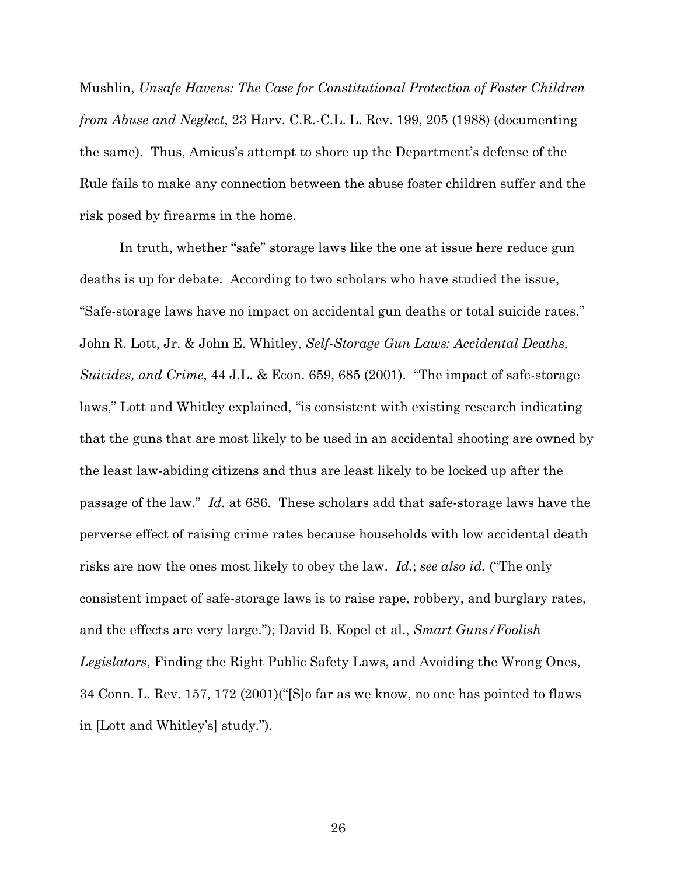Mushlin, *Unsafe Havens: The Case for Constitutional Protection of Foster Children from Abuse and Neglect*, 23 Harv. C.R.-C.L. L. Rev. 199, 205 (1988) (documenting the same). Thus, Amicus's attempt to shore up the Department's defense of the Rule fails to make any connection between the abuse foster children suffer and the risk posed by firearms in the home.

In truth, whether "safe" storage laws like the one at issue here reduce gun deaths is up for debate. According to two scholars who have studied the issue, "Safe-storage laws have no impact on accidental gun deaths or total suicide rates." John R. Lott, Jr. & John E. Whitley, *Self-Storage Gun Laws: Accidental Deaths, Suicides, and Crime*, 44 J.L. & Econ. 659, 685 (2001). "The impact of safe-storage laws," Lott and Whitley explained, "is consistent with existing research indicating that the guns that are most likely to be used in an accidental shooting are owned by the least law-abiding citizens and thus are least likely to be locked up after the passage of the law." *Id.* at 686. These scholars add that safe-storage laws have the perverse effect of raising crime rates because households with low accidental death risks are now the ones most likely to obey the law. *Id.*; *see also id.* ("The only consistent impact of safe-storage laws is to raise rape, robbery, and burglary rates, and the effects are very large."); David B. Kopel et al., *Smart Guns/Foolish Legislators*, Finding the Right Public Safety Laws, and Avoiding the Wrong Ones, 34 Conn. L. Rev. 157, 172 (2001)("[S]o far as we know, no one has pointed to flaws in [Lott and Whitley's] study.").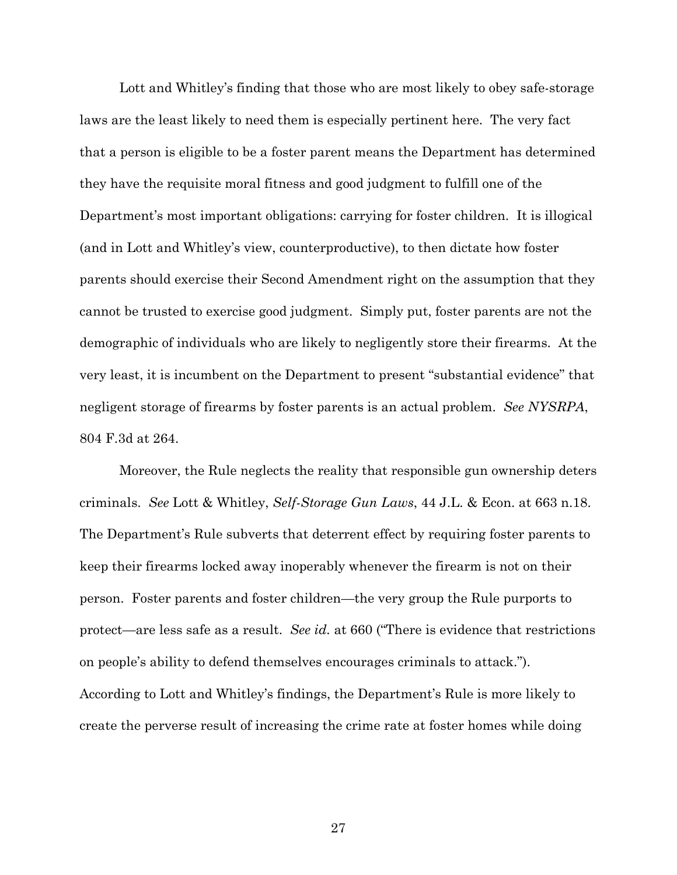Lott and Whitley's finding that those who are most likely to obey safe-storage laws are the least likely to need them is especially pertinent here. The very fact that a person is eligible to be a foster parent means the Department has determined they have the requisite moral fitness and good judgment to fulfill one of the Department's most important obligations: carrying for foster children. It is illogical (and in Lott and Whitley's view, counterproductive), to then dictate how foster parents should exercise their Second Amendment right on the assumption that they cannot be trusted to exercise good judgment. Simply put, foster parents are not the demographic of individuals who are likely to negligently store their firearms. At the very least, it is incumbent on the Department to present "substantial evidence" that negligent storage of firearms by foster parents is an actual problem. *See NYSRPA*, 804 F.3d at 264.

Moreover, the Rule neglects the reality that responsible gun ownership deters criminals. *See* Lott & Whitley, *Self-Storage Gun Laws*, 44 J.L. & Econ. at 663 n.18. The Department's Rule subverts that deterrent effect by requiring foster parents to keep their firearms locked away inoperably whenever the firearm is not on their person. Foster parents and foster children—the very group the Rule purports to protect—are less safe as a result. *See id.* at 660 ("There is evidence that restrictions on people's ability to defend themselves encourages criminals to attack."). According to Lott and Whitley's findings, the Department's Rule is more likely to create the perverse result of increasing the crime rate at foster homes while doing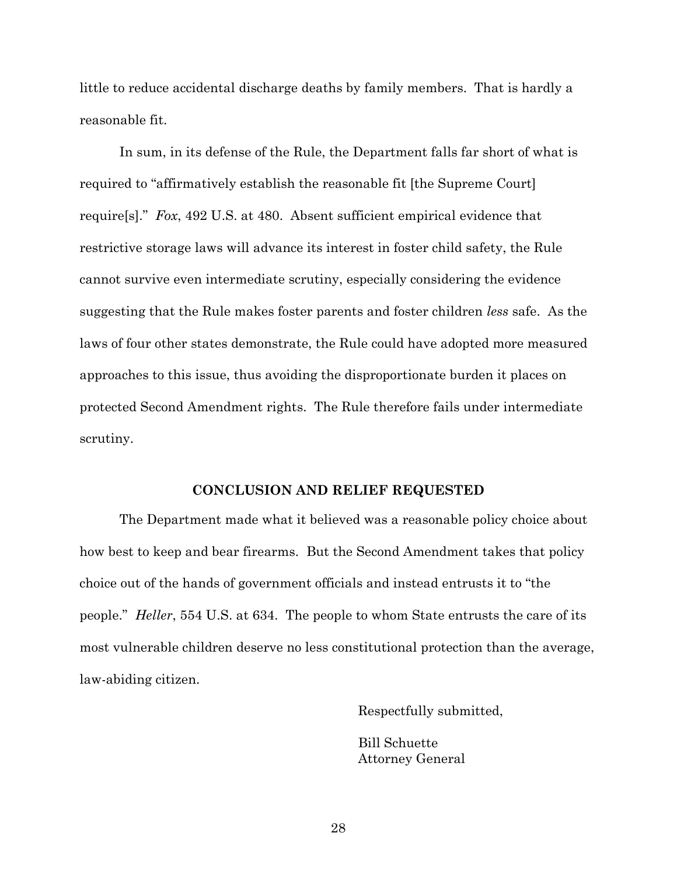little to reduce accidental discharge deaths by family members. That is hardly a reasonable fit.

In sum, in its defense of the Rule, the Department falls far short of what is required to "affirmatively establish the reasonable fit [the Supreme Court] require[s]." *Fox*, 492 U.S. at 480. Absent sufficient empirical evidence that restrictive storage laws will advance its interest in foster child safety, the Rule cannot survive even intermediate scrutiny, especially considering the evidence suggesting that the Rule makes foster parents and foster children *less* safe. As the laws of four other states demonstrate, the Rule could have adopted more measured approaches to this issue, thus avoiding the disproportionate burden it places on protected Second Amendment rights. The Rule therefore fails under intermediate scrutiny.

#### **CONCLUSION AND RELIEF REQUESTED**

The Department made what it believed was a reasonable policy choice about how best to keep and bear firearms. But the Second Amendment takes that policy choice out of the hands of government officials and instead entrusts it to "the people." *Heller*, 554 U.S. at 634. The people to whom State entrusts the care of its most vulnerable children deserve no less constitutional protection than the average, law-abiding citizen.

Respectfully submitted,

Bill Schuette Attorney General